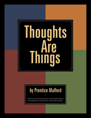

Thoughts Are Things

# by Prentice Mulford

A classic by one of the early pioneers of new thought, offering a basic foundation for those who wish to think more effectively.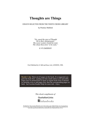## **Thoughts are Things**

#### ESSAYS SELECTED FROM THE WHITE CROSS LIBRARY

by Prentice Mulford

*"Go, speed the stars of Thought On to their shining goals; The sower scatters broad his seed, The wheat thou strew"st be souls."*

*R. W. EMERSON*

First Published by G. Bell and Sons, Ltd., LONDON, 1908.

**Reader's tip:** There are 63 pages in this book. It is suggested you print the book first - reading text this small online is not advisable. Pages may be printed back to back in regular book form if desired by printing even or odd pages first, then the corresponding pages on back. See Acrobat Reader Help for more info. *Enjoy.*

*This ebook compliments of*



Permitted Use: You are only authorized to view and to retain a copy of this book for your own personal use<br>or to forward to others for their own personal use. Do not duplicate, publish, modify or mass distribute this<br>book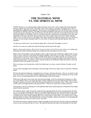#### *Chapter One*

## **THE MATERIAL MIND VS. THE SPIRITUAL MIND**

THERE belongs to every human being a higher self and a lower self–a self or mind of the spirit which has been growing for ages, and a self of the body, which is but a thing of yesterday. The higher self is full of prompting idea, suggestion and aspiration. This it receives of the Supreme Power. All this the lower or animal self regards as wild and visionary. The higher self argues possibilities and power for us greater than men and women now possess and enjoy. The lower self says we can only live and exist as men and women have lived and existed before us. The higher self craves freedom from the cumbrousness, the limitations, the pains and disabilities of the body. The lower self says that we are born to them, born to ill, born to suffer, and must suffer as have so many before us. The higher self wants a standard for right and wrong of its own. The lower self says we must accept a standard made for us by others–by general and long-held opinion, belief and prejudice.

"To thine own self be true" is an oft-uttered adage. But to which self? The higher or lower?

You have in a sense two minds–the mind of the body and the mind of the spirit.

Spirit is a force and a mystery. All we know or may ever know of it is that it exists, and is ever working and producing all results in physical things seen of physical sense and many more not so seen.

What is seen, of any object, a tree, an animal, a stone, a man is only a part of that tree, animal, stone, or man. There is a force which for a time binds such objects together in the form you see them. That force is always acting on them to greater or lesser degree. It builds up the flower to its fullest maturity. Its cessation to act on the flower or tree causes what we call decay. It is constantly changing the shape of all forms of what are called organized matter. An animal, a plant, a human being are not in physical shape this month or this year what they will be next month or next year.

This ever-acting, ever-varying force, which lies behind and, in a sense, creates all forms of matter we call Spirit.

To see, reason and judge of life and things in the knowledge of this force makes what is termed the "Spiritual Mind."

We have through knowledge the wonderful power of using or directing this force, when we recognize it, and know that it exists so as to bring us health, happiness and eternal peace of mind. Composed as we are of this force, we are ever attracting more of it to us and making it a part of our being.

With more of this force must come more and more knowledge. At first in our physical existances we allow it to work blindly. Then we are in the ignorance of that condition known as the material mind. But as mind through its growth or increase of this power becomes more and more awakened, it asks: "Why comes so much of pain, grief and disappointment in the physical life?" "Why do we seem born to suffer and decay"

That question is the first awakening cry of the spiritual mind, and an earnest question or demand for knowledge must in time be answered.

The material mind is a part of yourself, which has been appropriated by the body and educated by the body. It is as if you taught a child that the wheels of a steamboat made the boat move, and said nothing of the steam, which gives the real power. Bred in such ignorance, the child, should the wheels stop moving, would look no farther for the cause of their stoppage than to try to find where to repair them, very much as now so many depend entirely on repair of the physical body to ensure its healthy, vigorous movement, never dreaming that the imperfection lies in the real motive power–the mind.

The mind of the body or material mind sees, thinks and judges entirely from the material or physical standpoint. It sees in your own body all there is of you. The spiritual mind sees the body as an instrument for the mind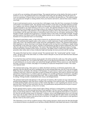or real self to use in dealing with material things. The material mind sees in the death of the body an end of all there is of you. The spiritual mind sees in the death of the body only the falling off from the spirit of a worn-out instrument. It knows that you exist as before only invisible to the physical eye. The material mind sees your physical strength as coming entirely from your muscles and sinews, and not from source without your body.

It sees in such persuasive power, as you may have with tongue or pen, the only force you possess for dealing with people to accomplish results. The spiritual mind will know in time that your thought influences people for or against your interests, though their bodies are thousands of miles distant. The material mind does not regard its thought as an actual element as real as air or water. The spiritual mind knows that every one of its thousand daily secret thoughts are real things acting on the minds of the persons they are sent to. The spiritual mind knows that matter or the material is only an expression of spirit or force; that such matter is ever changing in accordance with the spirit that makes or externalizes itself in the form we call matter, and therefore, if the thought of health, strength and recuperation is constantly held to in the mind, such thought of health, strength and rejuvenation will express itself in the body, making maturity never ceasing, vigour never ending, and the keenness of every physical sense ever increasing.

The material mind thinks matter, or that which is known by our physical senses, to be the largest part of what exists. The spiritual mind regards matter as the coarser or cruder expression of spirit and the smallest part of what really exists. The material mind is made sad at the contemplation of decay. The spiritual mind attaches little importance to decay, knowing in such decay that spirit or the moving force in all things is simply taking the dead body or the rotten tree to pieces, and that it will build them up again as before temporarily into some other new physical form of life and beauty. The mind of the body thinks that its physical senses of seeing, hearing and feeling constitute all the senses you possess. The higher mind or mind of the spirit knows that it possesses other senses akin to those of physical sight and hearing, but more powerful and far reaching.

The mind of the body has been variously termed "the material mind," the "mortal mind" and the "carnal mind." All these refer to the same mind, or, in other words to that part of your real sell which has been educated in error by the body.

If you had been born and bred entirely among people who believed that the earth was a flat surface and did not revolve around the sun, you would in the earlier years of your physical growth believe as they did. Exactly in such fashion do you in your earlier years absorb the thought and belief of those nearest you, who think that the body is all there is of them, and judge of everything by its physical interpretation to them. This makes your material mind.

The material mind seeing, what seems to it, depth, dissolution and decay in all human organization, and ignorant of the fact that the real self or intelligence has in such seeming death only cast off a worn-out envelope, thinks that decay and death is the ultimate of all humanity. For such reason it cannot avoid a gloom or sadness coming of such error, which now pervades so much of human life at present. One result or reaction from such gloom born of hopelessness is a reckless spirit for getting every possible gratification and pleasure, regardless of right and justice so long as the present body lasts. This is a great mistake. All pleasure so gained cannot be lasting. It brings besides a hundredfold more misery and disappointment.

The spiritual mind teaches that pleasure is the great aim of existence. But it points out ways and means for gaining lasting happiness other than those coming of the teaching of the material mind. The spiritual mind, or mind opened to higher and newer forces of life, teaches that there is a law regulating the exercise of every physical sense. When we learn and follow this law, our gratifications and possessions do not prove sources of greater pain than happiness, as they do to so many.

By the spiritual mind is meant a clearer mental sight of things and forces existing both in us and the Universe, and of which the race for the most part has been in total ignorance. We have now but a glimpse of these forces, those of some being relatively a little clearer than those of others. But enough has been shown to convince a few that the real and existing causes for humanity"s sickness, sorrow and disappointment have not in the past been seen at all. In other words, the race has been as children, fancying that the miller inside was turning the arms of the windmill, because some person had so told them. So taught their would remain in total ignorance that the wind was the motive power.

This illustration is not at all an overdrawn picture of the existing ignorance which rejects the idea that thought is an element all about us as plentiful as air, and that as blindly directed by individuals and masses of individuals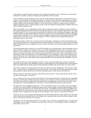in the domain of material mind or ignorance, it is turning the windmill's arms, sometimes in one direction, sometimes in another; sometimes with good and sometimes with evil results.

A suit of clothes is not the body that wears such suit. Yet the material mind reasons very much in this way. It knows of no such thing as clothing for the spirit, for it does not know that body and spirit are two distinct things. It reasons that the suit of clothing (the body) is all there is of the man or woman. When that man or woman tumbles to pieces through weakness, it sees only the suit of clothes so going to pieces, and all its efforts to make that man or woman stronger are put on the suit instead of making effort to reinforce the power within which has made the suit.

There are probably no two individuals precisely alike as regards the relative condition or action on them of their material and spiritual minds. With some the spiritual seems not at all awakened. With others it has begun to stretch and rub its eyes as a person does on physical awakening, when everything still appears vague and indistinct. Others are more fully awakened. They feel to greater or lesser extent that there are forces belonging to them before unthought of. It is with such that the struggle for mastery between the material and spiritual mind is likely to be most severe, and such struggle for a time is likely to be accompanied by physical disturbance, pain or lack of ease.

The material mind is, until won over and convinced of the truths, constantly received by the spiritual mind at war and in opposition to it. The ignorant part of yourself dislikes very much to give up its long accustomed habits of thinking. Its costs a struggle in any case at first to own that we have been mistaken and give up views long held to.

The material mind wants to more on in a rut of life and idea, as it always has done, and as thousands are now doing. It dislikes change more and more as the crust of the old thought held from year to year grows more thickly over it. It wants to live on and on in the house it has inhabited for years; dress in the fashion of the past; go to business and return year in and year out at precisely the same hour. It rejects and despises after a certain age the idea of learning any new accomplishments, such as painting or music, whose greatest use is to divert the mind, rest it, and enable you to live in other departments of being, all this being apart from the pleasure also given you as the mind or spirit teaches the body more and more skill and expertness in the art you pursue.

The material mind sees as the principal use of any art only a means to bring money, and not in such art a means for giving variety to life, dispelling weariness, resting that portion of the mind devoted to other business, improving health and increasing vigour of mind and body. It holds to the idea of being "too old to learn."

This is the condition of so many persons who have arrived at or are past "middle age." They want to "settle down." They accept as inevitable the idea of "growing old." Their material mind tells them that their bodies must gradually weaken, shrink from the fullness and proportion of youth, decay and finally die.

Material minds say this always has been, and therefore always must be. They accept the idea wholly. They say quite unconsciously, "It must be."

To say a thing must be, is the very power that makes it. The material mind then sees the body ever as gradually decaying, even though it dislikes the picture, and puts it out of sight as much as possible. But the idea will recur from time to time as suggested by the death of their contemporaries, and as it does they think "must," and that state of mind indicated by the word "must" will inevitably bring material results in decay.

The spiritual or more enlightened mind says: "If you would help to drive away sickness, turn your thought as much as you can on health, strength and vigour, and on strong, healthy, vigorous material things, such as moving clouds, fresh breezes, the cascade, the ocean surge; on woodland scenes and growing healthy trees; on birds full of life and motion; for in so doing you turn on yourself a real current or this healthy life-giving thought, which is suggested and brought you by the thought of such vigorous, strong material objects.

And above all, try to rely and trust that Supreme Power which formed all these things and far more and which is the endless and inexhaustible part of your higher self or spiritual mind, and as your faith increases in this Power, so will your own power ever increase.

"Nonsense!" says the ultra material mind." If my body is sick, I must have something done to cure that body with things I can see and feel, and that is the only thing to be done. As for thinking, it makes no difference what I think, sick or well."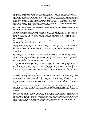At present in such a case a mind whose sense of these truths new to it, has just commenced to be awakened, will, in many cases, allow itself to be for a time overpowered and ridiculed out of such an idea by its own material mind or uneducated part of itself; and in this it is very likely to be assisted by other material minds, who have not woke up at all to these truths, and who are temporarily all the stronger through the positiveness of ignorance. These are as people who cannot see as far ahead as one may with a telescope, and who may be perfectly honest in their disbelief regarding what the person with the telescope does see. Though such people do not speak a word or argue against the belief of the partly awakened mind, still their thought acts on such a mind as a bar or blind to these glimpses of the truth.

But when the spiritual mind has once commenced to awaken, nothing can stop its further waking, though the material may for a time retard it.

"Your real self may not at times be where your body is" says the spiritual mind. It is where your mind is–in the store, the office, the workshop, or with some person to whom you are strongly attached, and all of these may be in towns or cities far from the one your body resides in. Your real self moves with inconceivable rapidity as your thought moves. "'Nonsense" says your material mind; "I myself am wherever my body is, and nowhere else."

Many a thought or idea that you reject as visionary, or as a whim or fancy, comes of the prompting of your spiritual mind. It is your material mind that rejects it.

No such idea comes but that there is a truth in it. But that truth we may not be able to carry out to a relative perfection immediately. Two hundred years ago some mind may have seen the use of steam as a motive power. But that motive power could not then have been carried out as it is today. A certain previous growth was necessary–a growth and improvement in the manufacture of iron, in the construction of roads, and in the needs of the people.

But the idea was a truth. Held to by various minds, it has brought steam as a motive power to its present relative perfection. It has struggled against and overcome every argument and obstacle placed in its way by dull, material, plodding minds. When you entertain any idea and say to yourself in substance: "Well, such a thing may be, though I cannot now see it" you remove a great barrier to the carrying out and realization by yourself of the new and strange possibilities in store for you.

The spiritual mind today sees belonging to itself a power for accomplishing any and all results in the physical world, greater than the masses dream of. It sees that as regards life's possibilities we are still in dense ignorance. It sees however, a few things–namely, perfect health, freedom from decay, weakness and death of the body, power of transit, travel and observation independent of the body, and methods for obtaining all needful and desirable material things through the action and working of silent mind or thought, either singly or in cooperation with others.

The condition of mind to be desired is the entire dominancy of the spiritual mind. But this does not imply dominancy or control in any sense of tyrannical mastership of the material mind by the spiritual mind. It does imply that the material mind will be swept away so far as its stubborn resistance and opposition to the promptings of the spiritual are concerned. It implies that the body will become the willing servant, or rather assistant of the spirit. It implies that the material mind will not endeavour to act itself up as the superior when it is only the inferior. It implies that state when the body will gladly lend its co-operation to all the desires of the spiritual mind.

Then all power can be given your spirit. Then no force need be expended in resisting the hostility of the material mind. Then all such force will be used to further our undertakings, to bring us material goods, to raise us higher and higher into realms of power, peace and happiness, to accomplish what now would be called miracles.

Neither the material mind nor the material body is to be won over and merged into the spiritual by any course of severe self censure or self denial, nor self punishment in expiation for sins committed, nor asceticism. That will only make you the more harsh, severe, bigoted and merciless, both to yourself and others. It is out of this perversion of the truth that have arisen such terms as "crucifying the body" and "subjugating the lower or animal mind." It is from this perversion that have come orders and associations of men and women who, going to another extreme, seek holiness in self denial and penance.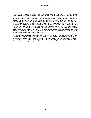"Holiness" implies wholeness, or whole action of the spirit on the body, or perfect control by your spirit over a body, through knowledge and faith in our capacity to draw ever more and more from the Supreme Power.

When you get out of patience with yourself, through the aggressiveness of the material mind, through your frequent slips and falls into your besetting sins through periods of petulance or ill temper, or excess in any direction, you do no good, and only ill in calling or thinking for yourself hard names. You should not call yourself "a vile sinner" anymore than you would call any other person a "vile sinner," If you do, you put out in thought the "vile sinner" and make it temporarily a reality. If in your mental vision you teach yourself that you are "utterly depraved" and a "vile sinner," you are unconsciously making that your ideal, and you will unconsciously grow up to it until the pain and evil coming of such unhealthy growth either makes you turn back or destroys your body, For out of this state of mind, which in the past has been much inculcated, comes harshness, bigotry, lack of charity for others, hard, stern and gloomy and unhealthy views of life, and these mental conditions will surely bring physical disease.

When the material mind is put away, or, in other words, then we become convinced of the existence of these spiritual forces, both in ourselves, and outside of ourselves, and when we learn to use them rightly (for we are now and always have been using them in some way), then to use the words of Paul: "Faith is swallowed up in victory," and the sting and fear of death is removed. Life becomes then one glorious advance forward from the pleasure of today to the greater pleasure of tomorrow, and the phrase "to live" means only to enjoy.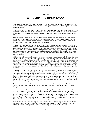#### *Chapter Two*

## **WHO ARE OUR RELATIONS?**

THE man or woman who if most like you in tastes, motives, and habits of thought, and to whom you feel most attracted, may not be brother, sister, cousin, or any physical relative at all. But such person is to you a very near relation.

Your brothers or sisters may not be like you at all in mind, taste, and inclination. You may associate with them because they are members of the family, but were you not to know them as brothers, sisters, or other relatives, or were you to see elsewhere their exact counterparts in character, you might not like such counterparts at all.

Physical or "blood relationship" has very little bearing on the real or mental relationship. It is possible for a brother or sister, a father or mother to be very closely allied to you in thought and sympathy. Again, it is possible for a father or mother, brother or sister, to be very remote from you in thought and sympathy, and to live in a realm or atmosphere of thought very unlike yours.

You can live neither healthfully nor comfortably, unless with those whose thought-atmosphere (a literal emanation from them) is similar to your own. Physical relationship may or may not furnish such at atmosphere. Compel a labouring man whose thought goes little beyond his eating, drinking and daily round of work, to live exclusively with a company of artists and philosophers, seeing none of his own kind and order of thought, and that man's spirits would in time be depressed, and his health would suffer. The same law works when the superior mind is compelled to constant association with the inferior. Such may be your position among physical relatives.

Children live, thrive and are exhilarated by the thought-atmosphere emanating from their playmates. Cut them entirely off from such association and they droop. As a child, you lived upon this atmosphere of childhood; that is, you lived in the spiritual relationship of childhood, and regarding a certain playful thought nutriment, received it and also gave it to your playmates. You may wonder now why you cannot arouse the old feeling and exhilaration coming either from the associations of childhood or youth. It is because your spirit requires another thought food or atmosphere, which only another and probably higher order of mind can give. That received, and time would pass as quickly and pleasantly as it did with the associates of your earlier physical existence.

Those who can furnish it are your real relations. But such relationship cannot exist unless you can furnish them with the same quality of thought in return. The real or spiritual relations of many merchants, mechanics, and those of other callings, are their brother merchants, mechanics, or those of similar occupations. They prove this by their lives. They feel more at home with those whose business is like their own than they do in the places they may call home, to which they resort to eat, sleep, and spend often a tiresome Sunday, longing for Monday's coming, and the more welcome life of the market-stall and store. Because there they are amongst their real relations, and are being literally led and stimulated by the thought- atmosphere furnished them by these relatives, which they also furnish in turn.

Every order of mind or quality of thought must have association with a corresponding order of mind and quality of thought, or it will suffer. But "blood relationship" has little to do with furnishing such order of thought.

There is a vast amount of unconscious tyranny exercised through the ties of physical relationship. Children often, when grown up, place the mothers or fathers in their minds in a sphere and method of life where they may or may not care to belong. Then thought, seldom if ever expressed, runs in substance thus: "Mother is getting too old to wear bright colours. She must dress more subdued." "It is ridiculous for mother (if a widow) to marry again" (very hard cash reasons sometimes entering into this sentiment). "Mother, of course, does not want to enter into our gayer life, so she can stay at home and take care of the children." or, "It is time father retired from business," or, "Father's idea of marrying again is ridiculous."

No force is more subtle in its workings, nor more powerful to bring results for good or ill than the steady output of thought from one or several minds combined, on one person to effect some desired result, and whether this is done intelligently and consciously, or blindly, the force works the same result.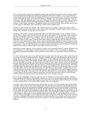Now a continual flow of this kind of thought, coming from, possibly, three or four minds to whom "mother" was instrumental in furnishing new bodies, and continually directed on "mother," is a very powerful force to direct and keep her exactly where the children find it most convenient to have her. The whole conventional current of thought also flows as an aid in this direction. "Mother," says this unspoken sentiment, "must of course grow old, retire gradually from a more active and gayer life, and retire also to a corner of the household, to associate with other shelved and declining parents, and he useful as a general upper nurse in times of sickness or other family emergency." Through the action on her on these minds, many mothers cease to have any privileges as individuals, and eventually do exactly as their children desire.

Possibly it is here remarked or thought, "But should I not go to my mother or other near relative with my cares and trials, and receive her help, as I have always been in the habit of doing? Ought not those of my own family, above all others, to help me in time of need?"

Certainly, if the mother or any of your physical relatives are glad and anxious so to do. Certainly, if such service from a relative comes directly from the heart and is not impelled by the sentiment taking sometimes this form of unspoken expression: "I suppose I must do this because it is my brother, or my son, or other physical relative who asks it." Asks it? Many, many are these services which are unconsciously demanded, rather than asked, in these cases. Loads are piled upon relatives simply because they are relatives. Favours in money–in the endorsement of notes, are in a sense exacted through sympathy of relatives. Support, food, shelter, maintenance, are expected from relatives when it cannot be procured elsewhere. Hospitality is expected from relatives, when to expect hospitality is to make such entertainment the result of a demand. Presents are expected from relatives, when to expect a gift makes it rather an extortion.

Real gifts are always surprises. No one expects a surprise since expectation destroys surprise. Relatives visit and "camp down" on other relatives simply because they are relatives, and a vast amount of grudging, grumbling, but unspoken thought is always going out when relatives use each other's houses to save hotel bills.

No real or lasting good comes of any gift bestowed on another unless the heart goes with it, and its bestowal is to the giver an act of unalloyed pleasure. Because something else goes with the material gift, the food, the shelter, the loan, which though not seen, and little known, is more important than the form itself. That is the thought which goes with it, That thought strongly affects, for good or ill, the person who receives the gift. If, as giving within your means, you bestow the merest trifle in money upon a person in need, and the thought that goes with it is not only the most sincere desire to help that person, but you feel a keen sense of pleasure in giving such help, then you throw upon that person a certain thought-element which will never leave them, and benefit them eternally and in proportion to the quality, power and force of your thought. Then you do far more than relieve their present physical necessity. You give them a certain amount of spiritual power. Your wish that their power may be so developed and increased as to enable them to live above beggary, and draw to themselves the goods of this earth (as all will and must, when grown to a certain stature in spiritual power), is a great help for them in time to acquire such power. You have sent and sown in them a seed of thought which will take root and bear fruit at some period of their real or spiritual existence.

But if you give grudgingly, if you give under any sort of compulsion, if you give food, shelter, clothing, money, anything, only because circumstances compel you so to do, or because people might talk unfavourably of you for not giving, or because other people are so giving, then your gift does relatively little good, no matter on whom bestowed, be it even mother, father, brother, sister, son or daughter.

You relieve, then, only a physical necessity, and that only for a time. You may possibly feed a body, shelter it, clothe it. But you do not, and cannot feed properly the spirit that uses that body if the thought going with your gift is not that of the most perfect willingness and hearty pleasure in relieving that body's necessities. The grudging thought accompanying the gift, the thought common to that position when the recipient of the gift (no matter how near the relationship) is endured rather than enjoyed, the thought accompanying any gift to any person, or relative, that is given principally because custom and public opinion require it, or because of the recipient's importunity, is a great damage both to giver and taker. It is the sending to the one who receives a current of thought, evil in its character and result. It brings back to the giver from the one who takes a response in thought of like nature, and this also is harmful. Because, if you receive a gift which you have in any way extorted your feeling for the giver is not that of warm, glowing gratitude, but something quite different.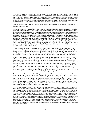The Christ of Judea, when commending the widow who cast her mite into the treasury, did so in our estimation and as seen in this light, not merely because she gave in proportion to her material means, but because he saw that her thought of desire to help in whatever way help was needed, going with that mite, was far more heartfelt and genuine than that of richer people who cast in larger sums, but cast in also with them a lower character of thought and motive. He saw, also, that the woman's thought was actually doing far more to help than that of the others, for it was purer, less mixed with lower motive and therefore far the stronger.

"Is it not my duty," some may ask, "to feed, clothe, shelter, and support a very near relative or parent, if helpless, in their old age?"

The term "doing from a sense of duty" does not always imply that the thing done, be it the person helped or the patient nursed through sickness, is done from the impulse of love for that person or love for the doing. It is sometimes done mechanically, or with dislike for the doing. It is sometimes a forced and painful performance. For such reason little good is done, for if physical necessities are temporarily relieved, spiritual necessities are not, and unless the spiritual portion of our natures is fed there can be no permanent relief or good done the physical. Parents who in old age are supported by their children merely from a sense of duty, have sometimes their spirits wounded and starved–wounded, because they feel they are endured encumbrances–-starved, because no real love goes with the gift or service done by these children. Children who come into the world unwelcomed by the parent and are brought up only because custom, conventionality and public opinion demand their support from that parent, are most unfortunate, and suffer from the blight and starvation thereby caused their spirits. Genuine heartfelt love is literally life giving, and if received by the child is for it a source of cheer, health, strength, and activity.

There is a certain trained conscience whose basis of education is fear of public or private opinion. This sometimes really impels acts which are said to be done from a "sense of duty." If public opinion should suddenly change, and cast no censure at all on the person who refused to support very near relatives in want or old age, a proportion of such relatives would probably go to the poor-house, and the son or daughter who sent them there would be acting out their real natures, and not feigning a sentiment they did not possess.

Mothers sometimes say, "I don't care what becomes of me, so that my children are well brought up and educated." A mother should care a great deal for her own cultivation. If her cultivation and growth in wisdom are checked, that of her children will be checked. It will be checked if she sinks herself in her endeavour to favour her children. A genuine mother will continually compel the admiration and respect, as well as love of her children. Such admiration and respect can be compelled only by a woman who knows the world, has standing and position in it and is ever pushing forward to more commanding place and position. Such admiration and respect from son or daughter cannot be compelled by the mother who retires to a household corner, becomes a cross between upper nurse and governess, neglects her dress and personal appearance, and teaches her children that she is at their disposal and use in all family emergencies, real or fancied. For this very reason are many mothers ignored, snubbed, and ridiculed by their grown-up children.

If mothers so sink themselves, as they falsely imagine, to benefit their children, they pay in cases a terrible penalty. If you allow your will constantly to be overborne by another; if you give up your own preferences and inclinations, and become only another's echo; if you live just as others desire, you will lose more and more, for this existence, the power of self-assertion; you will absorb so much of the other mind and thought about you as to become a part of that mind, and so act in accordance even with its silent will and unspoken desire; you will fossilize, and sink into a hopeless servitude; you will lose more and more of both physical and mental power for doing anything; you will become the chimney-corner encumbrance, the senile parent, the helpless old man or woman, endured rather than loved.

This, in many instances, has been the effect of the grown-up children's minds upon a parent. It is the silent force of those minds, continually working on that of the parent, which helps to break the parent down physically, and the decay and mental weakness, commonly charged to "advancing years," is due in part to the injurious effect of a mind or group of minds, seeking to usurp and overpower another. This evil is done unconsciously. The son wishes to manage the farm. His will may be strong. He gains power step by step. He takes as rights what at first he took only by a father's permission or as privileges. He goes on step by step, having his way in all things, great and small, perhaps being aided by others of the children, using their silent force in the same direction. And this may be a combined force almost impossible for one person to withstand if continually exposed to it. It is a steady, incessant pressure, all in one direction. It works night and day. It works all the more efficaciously, because the parent so exposed to it is utterly ignorant of such a force and its operation upon him. He finds himself growing weak. He becomes inert. He lacks his old vigour, and thinks it is through the approach of old age.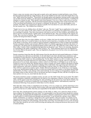I knew a man over seventy years of age and as sound, active and vigorous in mind and body as one of forty. He had organized and built up a large business. His several children at last took it into their heads that it was time "father retired from business." Henceforth, the thought spoken and unspoken, bearing month in and month out on father from the children, was this desire and demand that he should retire from business. Confiding his situation to a friend, he said, "Why should I retire from business? I live in it, I like it, and so far as I can see, am able to conduct it properly." But the persistent demand and force brought to bear on him from these foes of his own blood and household were too great to withstand. He did retire. The sons and daughters were satisfied. The father soon commenced to decline in health. He lived about two years afterwards, and one of his last remarks was, "My children have killed me."

"Ought I not to love my children above all others" asks one. The term "ought" has no application to the nature of love. Love goes where it will, and to whom it will, and where it is attracted. You cannot force yourself to love anything or anybody. There have been parents who had no real love for their children, and children who had no real love for their parents. Neither party can be blamed for this. They were lacking in the capacity for loving. They were born so lacking. They are no more to be censured for such deficiency than you would censure a person for being born blind or cripple.

Some parents fancy they love their children, yet do not. A father who loses his temper and beats his son does not really love that son. It would be better to say that he loved to beat him, or tyrannize over him. Government in the family is necessary; bur no sound, loving government is administered on a basis of anger and irascibility. Parents sometimes interfere and seriously affect the future of a child by opposing its desires in the choice of a profession. The parent may be prejudiced against certain walks in life. The child may wish to follow one of these walks. It meets a bitter, uncompromising opposition on the parent's part. There is no reasoning, discussion, or counselling in the matter–nothing but a stern, positive "No." Such sentiment and act are not impelled by love for the child on the parent's part. They are impelled by the parent's love for his or her own opinion and a love of tyranny.

Parents sometimes forget that after the child emerges from the utter physical and mental helplessness of infancy, it is becoming more and more an individual. As an individual it may show decided tastes, preferences and inclinations in some direction. No parent and no person can break or alter these tastes and preferences. No one can make that child's mind over into something else. For the child's mind as we call it, is really a mind or spirit, which has lived other physical lives from infancy to maturity, if not to old age, and as it comes into possession of its new body, and acquires a relative control over that body, it will begin to act out the man or woman as it was in its former life, and that may be a man or woman very closely related to the parent or hardly related at all. But in any event, the parent is dealing with an individual, who is growing more and more into tastes, preferences, and traits of character which belong to and are a part of it These must have expression. They will have expression in mind or spirit, whether allowed to physically or not. If the boy is ever longing to go to sea, and the parent forbids, the boy is on the sea in mind; and if so in mind, it is far better that his body should follow, for there is only damage when mind and body are not working in correspondence together. If the mother refuse to allow the boy to go to sea because she fears its dangers for him, still she is loving her own fears and her own way, too, more than she does her son.

The parent sometimes usurps a complete tyranny, not only over the child's body, but over its mind. The child's tastes, inclination, tendencies and preferences are held as of no importance whatever. If the boy wants to be a sailor, and the parent wants him something else–that something else the parent may insist that he shall be, but does he succeed? Let the host of mediocrity in all callings in the land answer. And mediocrity means the mechanical following of any pursuit in which there it no live interest.

More than this; where a body is compelled to do one thing, or live in a certain way, and the mind longs to live in another, there is a force set in motion which in many cases tears mind and body apart; and parents sometimes grieve over the loss of a child, when they are responsible for the death of its body from this cause.

How long, then, should parental control continue over the child–or, rather, over a spirit for which you have been an agency for furnishing with a new body? Is it unreasonable to say that such control should not continue after such body, emerging from the helplessness of infancy, shall have acquired such control of its organization as shall enable it to meet all physical demands and necessities? To go beyond this, and give food, clothes, shelter, maintenance, to a person, is doing him or her a great injustice, and even cruelty. In so doing you do not grant exercise to those faculties which must be used in coping successfully with the world. You make the children the less fitted to be self-sustaining, and earn their own living. You teach them to lie in a soft, luxurious bed, when they should be out in the world exercising and making more strong and dexterous their powers, both of mind and body.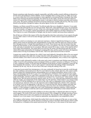Parents sometimes make themselves unjustly responsible, and inflict needless mental suffering on themselves, for the errors and tendencies of their children. A son or daughter takes a wrong course–or, rather, let us put it, a course where the evil is more prominent or more opposed to conventional ideas of propriety than other habits more tolerated and deemed reputable, but which may be the subtle, and for the most part unknown, sources of as great ills as those condemned by society. A son takes to drink or reckless associates and commits some crime. The parent condemns herself for not having looked more carefully after her boy. She may accuse herself as having been, through her neglect, the prime agency for her son's misdeeds.

Madame, you blame yourself far too much. You did not make that son or daughter's character. It was made long before that spirit had the use of its last new body. What traits, what imperfections were very prominent in its last existence, will appear in its next. If that was a thieving spirit before, it will probably show thieving tendencies now. If it was gross, animal and gluttonous, then similar tendencies will show themselves now. You, if grown to a more refined plane of thought, may do much to modify and lessen these tendencies.

But all that you will do in this respect will be done through the silent force and action of your superior thought on your child's mind. It will not be done through a great deal of verbal counsel or physical punishment or discipline.

Whatever a mind is on entering on a new physical experience, whatever imperfection belongs to it, must appear and be acted out and beget pain and punishment of some kind, until that spirit sees clearly for itself, how, through its errors, it brings these punishments on itself. These lessons can only be learned when that person has full freedom, so far as parental control goes, to live as it pleases. You may for a time control such a life, and make it externally live as you please. But such external life is only a veneer, if the mind be full of lower tastes and inclinations. The sooner these are lived out, the sooner will that person learn the real law, which inflicts pains and penalties for breaking its unchangeable rules, and the sooner will it know the happiness which comes of living in accordance with Its rules. That every spirit must do for him or herself.

A parent may mould a false character for a child. It may teach indirectly, through the effect of its own mental condition operating on the child, how to feign what the world calls goodness, how it may seem, as regards outward conduct, to be what it is not at all in secret tendency and inclination,–how, in brief, to be a hypocrite.

No person is really reformed by another, in the sense such a term is sometimes used. Reform must come from within. It must be self-sustaining. It must not depend wholly on another's presence or influence. If it does, it is only a temporary reform. It will fail when the influence of the person on whom it depends is removed. We hear sometimes the assertion, "such or such a person's wife has been the making of him" (meaning the husband). By the way, why do we never hear of the man's being the making of his wife?

A man may be prevented from intemperance, or he may continually be braced up to meet the world through his wife's influence and mental power. But if in such reform he relies entirely upon her; if he cannot sustain himself without her continual presence and prompting, his is no lasting reformation, and he is also a very heavy and damaging load for her to carry. It is a one-sided piece of business when one person must supply all the sustaining force for two, and if this is persisted in, the wife, or whoever so supplies it, will at last sink under such burden, and there will be two wrecked lives instead of one. No person can "make another," in the highest sense. But one person having the superior mind, can, if in a very close and long-continued association with one weaker, give temporarily to the weaker their very life and force, if their desire it very strong to help the weaker. If it be the husband who so receives of the wife, and is so dependent on the wife then he does not represent any character of his own. He represents and is clothed temporarily with his wife's character, or as much of it as he can appropriate. If she dies, or is removed from him, then he relapses and sinks into his real self, unless he is resolved to be self-sustaining, and evolve force out of himself instead of using another's. If she continues to supply him, she is only sustaining his temporary character, which cannot last when its source of supply is removed, and in such continuance she will certainly in time exhaust herself.

Parents often unconsciously teach their children to lie down upon them, to depend upon them too long for moral support. The result of this error is that then the parent's life is dragged out, through carrying so heavy a load, the child ceases to have any genuine love for its parent. You may pity what is decrepit, weak, and shattered. Love it you cannot. Love is based on admiration, and admiration is not compelled by decay.

The tendency called instinct, which impels the mother bird to turn its young out of the nest, so soon as they have sufficient strength to fly, and the animal in weaning its young to turn them adrift and leave them to shift for themselves, is founded on the natural and divine laws. We may say it is the custom of the brutes and is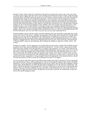therefore "brutal." But would it be a kindness for the bird to encourage the young to stay in the nest where it could not gain strength, and when a few weeks will bring the storms and severity of winter, which the parent bird itself cannot withstand? Again, the parent, be it bird, animal, or human mother, needs after these periods of bringing their young into the world and rearing them, a season of entire rest and recuperation, and the duration of such resting season should be proportionate to the complexity of the organization and the force expended by such organization. During such periods, the parent should be freed from any and all demands from the child. Birds and animals in their natural or wild life take such periods of rest. But thousands of human mothers are never free from the demands of their children, until worn out they drop into their graves. They should be as free, so far as their children a concerned, as they were in girlhood, and before they became mothers. Motherhood is a most necessary and an indispensable phase of existence for ripening and developing qualities. But no one experience should be followed and dwelt in forever. Life in its more perfected state will be full of alterations–not a rut, into which if you are once set you must continually travel.

If human children remain with the mother years after attaining what may be termed a responsible age; if they always look to her for aid, advice, sympathy, and assistance; if the mother allows herself to become the family leaning-post, she may also be repeating the one-sided business of supplying too much force to others and getting none back. She may be practising a false and injurious species of motherhood because it is exacted, begged, or dragged from her. She may be robbing herself of the new life which awaits her, when the brood is reared and their wings are self-sustaining. She is helping the children to make her a feeble, witless "old woman."

Perhaps one remarks: "If your suggestion was literally followed, the streets would be full of children turned by parents out of their homes and unable to provide for themselves." So they would. I argue here no literal following of the example set by bird and beast. It would be a great injustice. No custom, when followed for ages, even if based in error, can be suddenly changed without disturbance, injustice, and wrong. Yet it is worth our while to study this principle that we find in nature, from the tree that casts adrift the ripe acorn, to the bird or animal that casts adrift the relatively ripened young. Neither acorn, bird nor animal, when cast off or weaned, ever returns to the parent for self-sustaining power. Such power, in these cases, is only given by the parent until the new organization is strong enough to absorb and appropriate of the elements about it, absorb of earth and sunshine, or flesh or grain, the nourishment necessary to its support.

Are not our streets today full of grown-up children quite unable to provide for themselves? Do not thousands leave parental homes with no self-sustaining power, who are all through life unable to feed, clothe, and shelter themselves, save by long hours of drudging labour at the lowest wages? Does not this life of drudgery exhaust and cut them off prematurely? Are there not thousands of daughters all over the land who will become "old maids," and whose parents will not permit them, were they so disposed, to go out in the world and take their chances? These are the birds cuddled in the nest, until their wings, denied exercise, lose at last all power or prompting for flight, and whose mouths, though they become grown-up birds, are trained only to open and receive the morsels dropped in them.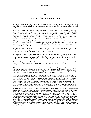#### *Chapter 3*

## **THOUGHT CURRENTS**

WE need to be careful of what we think and talk. Because thought runs in currents as real as those of air and water. Of what we think and talk we attract to us a like current of thought. This acts on mind or body for good or ill.

If thought was visible to the physical eye we should see its currents flowing to and from people. We should see that persons similar in temperament, character and motive are in the same literal current of thought. We should see that the person in a despondent and angry mood was in the same current with others despondent or angry, and that each one in such moods serves as an additional battery or generator of such thought and is strengthening that particular current. We should see these forces working in similar manner and connecting the hopeful, courageous and cheerful, with all others hopeful, courageous and cheerful.

When you are in low spirits or "blue" you have acting on you the thought current coming from all others in low spirits. You are in oneness with the despondent order of thought. The mind is then sick. It can be cured, but a permanent cure cannot always come immediately when one has long been in the habit of opening the mind to this current of thought.

In attracting to us the current of any kind of evil, we become for a time one with evil. In the thought current of the Supreme Power for good we may become more and more as one with that power, or in Biblical phrase "One with God." That is the desirable thought current for us to attract.

If a group of people talk of any form of disease or suffering, of death-bed scenes and dying agonies, if they cultivate this morbid taste for the unhealthy and ghastly, and it forms their staple topics of conversation, they bring in themselves a like current of thought full of images of sickness, suffering and things revolting to a healthy mind. This current will act on them, and eventually bring them disease and suffering in some form.

If we are talking much of sick people or are much among them and thinking of them, be our motive what it may, we shall draw on ourselves a current of sickly thought, and its ill results will in time materialize itself in out bodies. We have far more to do to save ourselves than is now realized.

When men talk business together they attract a business current of idea and suggestion. The better they agree the more of this thought current do they attract and the more do they receive of idea and suggestion for improving and extending their business. In this way does the conference or discussion among the leading members of the company or corporation create the force that carries their business ahead.

Travel in first-class style, put up at first-class hotels and dress in apparel "as costly as your purse can buy," without running into the extreme of foppishness. In these things you find aids to place you in a current of relative power and success. If your purse does not now warrant such expenditure, or you think it does not, you can commence so living in mind. This will make you take the first steps in this direction. Successful people in the domain of finance unconsciously live up to this law. Desire for show influences some to this course. But there is another force and factor which so impels them. That is a wisdom of which their material minds are scarcely conscious. It is the wisdom of the spirit telling them to get in the thought current of the successful, and by such current be borne to success. It is not a rounded-out success, but good is far as it goes.

If our minds are, from what is falsely called economy, ever set on the cheap–cheap lodgings, cheap food and cheap fares, we get in the thought current of the cheap, the slavish and the fearful. Our views of life and our plans will be influenced and warped by it. It paralyzes that courage and enterprise implied in the old adage "Nothing ventured nothing gained." Absorbed in this current and having it ever acting on you, it is felt immediately when you come into the presence of the successful and causes them to avoid you. They feel in you the absence of that element which brings them their relative success. It acts as a barrier, preventing the flow to you of their sympathy. Sympathy is a most important factor in business. Despite opposition and competition, a certain thought current of sympathy binds the most successful together. The mania for cheapness lies in the thought current of fear and failure. The thought current of fear and failure, and the thought current of dash, courage and success will not mingle nor bring together the individuals who are in these respective streams of thought. They antagonize, and between the two classes of mind is built a barrier more impenetrable than walls of stone.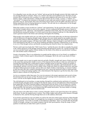Live altogether in any one idea, any one "reform" and you get into the thought current of all other minds who are carrying that idea to extremes. There is no "reform" but what can be pushed too far. The harm of such extreme falls on the person who so pushes it. It warps mind, judgment and reason all on one side. It makes fanatics, bigots, cranks and lunatics, whether the idea involves an art or study, a science, a "reform" or a "movement." It connects the extremists of all people in such order and current of mind, no matter what their specialties may be. Such people often end in becoming furious haters of all who differ with them and in so hating expend their force in tearing themselves to pieces. The safe side lies in calling daily for the thought current of wisdom from the Infinite Mind.

When that wisdom is more invoked our "reforms" and organizations "for the good of the whole" will not run into internal wrangles almost as soon as they organize. As now conducted the thought current of hatred of and antagonism to the "oppressor" and monopolist is admitted at their birth. This very force breeds quarrels and dissensions among the members. It is force used to tear down instead of build up. It is like taking the fire used to generate steam in the boilers and scattering it throughout the building.

When people come together and in any way talk out their ill-will towards others they are drawing to themselves with ten-fold power an injurious thought current. Because the more minds united on any purpose the more power do they attract to effect that purpose. The thought current so attracted by those chronic complainers, grumblers and scandal mongers, will injure their bodies. Because whatever thought is most held in mind is most materialized in the body. If we are always thinking and talking of people's imperfections we are drawing to us ever of that thought current, and thereby incorporating into ourselves those very imperfections.

We have said in previous books that "Talk Creates Force," and that the more who talk in sympathy the greater is the volume and power of the thought current generated and attracted for good or ill. A group of gossips who can never put their heads together without raking over the faults of the absent are unconsciously working a law with terrible results to themselves.

Gossip is fascinating. There is an exhilaration in scandal and the raking over of our friend's or neighbour's or enemy's faults is almost equal to that produced by champagne. But in the end we pay dearly for these pleasures.

If but two people were to meet at regular intervals and talk of health, strength and vigour of body and mind, at the same time opening their minds to receive of the Supreme the best idea as to the ways and means for securing these blessings, they would attract to them a thought current of such idea. If these two people or more kept up these conversations on these subjects at a regular time and place, and found pleasure in such communings, and they were not forced or stilted; if they could carry them on without controversy, and enter into them without preconceived idea, and not allow any shade of tattle or tale-bearing, or censure of others to drift into their talk, they would be astonished at the year's end at the beneficial results to mind and body. Because in so doing and coming together with a silent demand of the Supreme to get the best idea, they would attract to them a current of Life-giving force.

Let two so commence rather than more. For even two persons in the proper agreement and accord to bring the desired results are not easy to find. The desire for such meetings must be spontaneous, and any other motive will bar out the highest thought current for good.

The old-fashioned revival meeting, or camp meeting, through the combined action and desire of a number of minds brought a thought current, causing for the time the ecstasy, fervour and enthusiasm which characterized those gatherings The North American Indian worked himself into the frenzy of his war dance by a similar law. He brought to him by force of united desire a thought element and current which stimulated and even intoxicated him. His sole desire was to bring on him this mental intoxication. The more minds so working in the same vein, the quicker came the desired result.

The real orator in his effort draws to him a current of thought, which as sent again from him to his audience, thrills them. So does the inspired actor or actress. They bring a higher and more powerful element of thought to themselves first, and this flowing through them acts on the audience afterwards.

If you dwell a great deal on your own faults you will by the same laws attract more and more of their thought current, and so increase those faults. It is enough that you recognize in yourself those faults. Don't be always saying of yourself, "I am weak or cowardly or ill-tempered or imprudent," Draw to yourself rather the thought current of strength, courage, even temper, prudence and all other good qualities. Keep the image of these qualities in mind and you make them a part of yourself.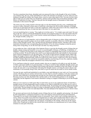You have sometimes been beset, absorbed, and even annoyed for days in the thought of the suit of clothes you wanted to buy, the cut, colour and fashion of a dress, the selection of a bonnet, or cravat, until you were nothing in thought but clothes, hat, bonnet, dress, cravat or some other detail of life. You may not have been able to make up your mind what you should buy, and have then possibly been tossed about mentally on the billows of indecision for days. You have then got into the thought current of thousands of other minds continually in this mood of thought.

The surest way for a young woman to become ugly is to be discontented, peevish, cross, complaining and envious of others. Because in these states of mind she is drawing to her the invisible substance of thought, which acts on and injures her body. It ruins the complexion, makes lines and creases in the face, sharpens the nose and transforms the face of youth into that of the shrew in very quick time.

I am not moralizing here or saying: "You ought not to do thus and so." It is simply cause and result. Put your face in the fire, and it is scarred and disfigured, because of an element acting on it. Put your mind in the fire of ill-will, envy or jealousy, and it is also scarred, seamed and disfigured, because of an element as real as fire, though invisible, acting on it.

All things that are evil and imperfect, such as disagreeable traits of character in others–things unpleasant to hear or look upon should be gotten out of our minds as quickly as possible. Otherwise if dwelt upon, they attract of their thought current. They will then become permanent spiritual fixtures, and these will in time materialize themselves into corresponding physical fixtures. If we are always keeping in mind the person doing some wrong thing, we are the more apt to do that very thing ourselves.

Let us endeavour, then, with the help of the Supreme Power, to get into the thought current of things that are healthy, natural, strong and beautiful. Let us try to avoid thoughts of disease, of suffering, of deformity, of faultiness. A field of waving grain or the rolling surf is better to contemplate than to pore over the horrors of a railway accident. We do not realize how much we are depressed physically and mentally by the incessant feast of horrors prepared for us by the daily press. We invoke in their perusal a thought current, filled with things and images of horror and suffering. We bring ourselves in this way in connection and one-ness with all other morbid and diseased mind, which lives and revels in this current. it leads not to life, but to disease and death. Neither others nor yourself are one particle aided by your knowing of every fire, explosion, murder, theft or crime which the newspapers chronicle every twenty-fours hours.

If we read boots written by cynical, sarcastic minds, who are so warped as to be able to see only the faults of others, and at last unable to see good anywhere, we bring on ourselves their unhealthy thought current, and are one with it. The arrow always tipped with ill-nature and sarcasm is deadliest to him who sends it. In other words, the man who is ever inviting and cultivating this thought current, is inviting the unrest, disease and misfortune it will assuredly bring to him, and when we get too much into his mind we invite similar results.

You may be neat, careful and methodical in your habits, exact and elaborate in your work, yet if you associate closely with those who are careless and slovenly you may find in yourself a tendency to be also careless and slovenly, and a difficulty in resuming and carrying out your former neat, methodical and orderly methods. Because you have not only absorbed of the careless mind, or the mind lacking patience to do anything reposefully, but the fragment of such mind so absorbed is acting as a magnet in attracting to you its like thought current.

When an evil is known it is half cured. Bear in mind when you are in any unpleasant frame of mind that a thought current of such disagreeable mood is acting on you. Bear in mind that you are then one in a sort of electrical connection with many other sickly and morbid minds, all generating and sending unpleasant thought to each other. The next thing to be done is to pray or demand to get out of this current of evil thought. You cannot do this wholly of your own individual effort. You must demand of the Supreme Power to divert it from you.

We can more and more invite the thought current of things that are lively, sprightly and amusing. Life should be full of playfulness. Continued seriousness is but a few degrees removed front gloom and melancholy. Thousands live too much in the thought current of seriousness. Faces which wear a smiling expression are scarce. Some never smile at all. Some have forgotten how to smile, and it actually hurts them to smile, or to see others do so. Sickness and disease are nursed into fresher and fresher activity by the serious mood of mind. Habit continually strengthens the sad capacity of dwelling on the malady, which may be the merest trifle at first. People get so much in this current that woeful diseases are manufactured out of some trifling irritation in some part of the body.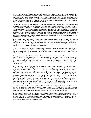Many material things are helps to divert a thought current acting disagreeably on you. You may have daily a set of disagreeable symptoms. They may seem to come as adjuncts to the daily routine of life. The breakfast table, the furniture, the conversation and even the persons immediately about you seem to recall them. Travel sometimes banishes them entirely. The sight of different surroundings diverts that particular thought current. Material remedies may temporarily effect the same result. So may any sudden change of life or occupation. But all these are secondary aids to the Supreme Power.

The thought current of fear is everywhere. All humanity fears something–disease, death, loss of fortune, loss of friends, loss of something. Everyone has his or her pet fear. It extends to the most trivial details of life. The streets are full of people who, if fearing nothing else, fear they won't catch a train or the next street car. The more sensitive you are to the impress of thought, the more liable are you to be affected by this thought current of fear until your spirit, by constant demand of the Supreme Power, builds up for itself an armour of thought positive to this current, and one which will deny it access. You can commence this building in saying, whenever you are affected in the way above mentioned, or in any disagreeable fashion, "I refuse to accept this thought and the mental condition it has brought on me which affects my body." You commence then to turn aside the thought current of evil.

Everyone has some pet fear–some disease they may never have had, but always dreaded– something they are in special fear of losing. Some trifle, even but a word or sentence uttered by another, brings this pet fear to the mind. Instantly through long habit the minds reverts to this fear. Instantly it opens to it, and the whole thought, volume and current rushes to and acts on them. It acts and vibrates on that particular chord of your nature, which for years has sounded your pet weakness.

Then in some way the body is affected disagreeably. There are myriads of different symptoms. The body may become weak and tremulous. There may be loss of appetite, tremulousness, a dry tongue, a bad taste in the mouth, weakness in the joints, drowsiness, difficulty of concentrating the mind on your business and many other disagreeable sensations.

Such symptoms are often classed as "malaria." In a sense the name is a correct one. Only in very many of these cases it is a bad atmosphere or current of thought which is acting on our minds instead of the fancied bad material atmosphere. Unquestionably an atmosphere full of vegetable or animal decomposition will affect many people. But some live for years in the midst of stagnant pools and swamps who never have malaria. Others far removed from such locations on high and dry ground do have it. They hare taken on a thought current of fear.

Place yourself in a house where there has recently been a panic or scare, though you may know nothing of it. You were well and strong the day before. You arise in the morning, and soon this whole train of disagreeable sensations affects you, because the house or place is saturated with a thought current of fear. Put a fear on city, town or country of some deadly epidemic or some great calamity, and hundreds of the more sensitive who may have no fear of that epidemic or calamity are still affected by it disagreeably. That thought current affects them in their particular a weak spot. A fanatic predicts some great catastrophe. The sensational newspapers take up the topic, ventilate it, affect to ridicule, but still write about it. This sets more minds to thinking and more people to talking. The more talk the more of this injurious force is generated. As a result thousands of people are affected by it unpleasantly, some in one way, some in another, because the whole force of that volume of fear is let loose upon them. Some are killed outright. Entirely unaware of the cause, they open their minds more and more to it, dwell on it in secret, put out no resisting thought until at last the spirit, unable longer to carry such a load, snaps the link which connects it with the body.

The more impressionable you are to the thought about you the more are you liable to be thus affected. But you can train your mind to shut out this thought. You can gradually train it to bar tightly this door to weakness, and keep open only the one to strength. You can do this by cultivating the mood of drawing to yourself and keeping in the mood and current of thought coming of God or the Supreme Power for good.

Impressionability or capacity to receive thought is source either of strength or weakness. Fine-grained, sensitive, highly developed minds today often carry the weakest bodies, because through ignorance they are always inviting some of these currents of evil without any knowledge of their existence or the means of throwing them off. They are ignorantly either courting or exposing themselves to such current. Improper individual association is one chief source of such exposure.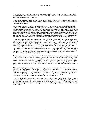The finer feminine organization is more sensitive to every shade and ray of thought about it, good or bad. Men absorbed in their business generate for a time a certain positiveness which throws off the fear current. But this positiveness cannot always last.

Women from this cause often suffer a thousandfold more in the privacy of their homes than men are aware of. The average man defines it as "woman's way," and wonders why she is so full of "nervousness," "vapours," "notions," and ill-health.

As you place your reliance on the Infinite Mind to bring you out of all these agencies for ill, that mind in some way will bring many material aids to help you out. That mind will suggest medicines and foods and surroundings and changes, not only to help you temporarily, but permanently, so that when you are cured you are cured for all time. A cheerful, buoyant, hopeful mind (and no mind is cheerful, hopeful and buoyant without being nearer the Infinite than one that is depressed, sour and gloomy), be that the mind of your doctor, or your friend, will help you to get out of the injurious thought current. Regard such mind as a help from the Infinite. But don't put your whole trust in that individual. Put the great trust in the Supreme Power which has sent to you the individual as a temporary aid or crutch until your spiritual limbs are strong enough to bear you.

The more you get into the thought current coming from the Infinite Mind, making yourself more and more a part of that mind (exactly as you may become a part of any vein of low, morbid, unhealthy mind in opening yourself to that current), the quicker are you freshened, and renewed physically and mentally. You become continually a newer being. Changes for the better come quicker and quicker. Your power increases to bring results. You lose gradually all fear as it is proven more and more to you that when you are in the thought current of Infinite good there is nothing to fear. You realize more and more clearly that there is a great power and force which cares for you. You are wonderstruck at the fact that when your mind is set in the right direction all material things come to you with very little physical or external effort. You wonder then at man's toiling and striving, fagging himself literally to death, when through such excess of effort he actually drives from him the rounded-out good of health, happiness and material prosperity all combined.

You will see in this demand for the highest good that you are growing to power greater than you ever dreamed of. It will dawn on you that the real life destined for the awakened few now, and the many in the future is a dazzling dream–a permanent realization that it is a happiness to exist–a serenity and contentment without abatement–a transition from pleasure to pleasure, and from the great to the greater pleasure. You find as you get more and more into the current of the Infinite Mind that exhausting toil is not required of you, but that when you commit yourself in trust to this current and let it bear you where it will, all things needful will come to you.

When you are getting into the right thought current, you may for a time experience more of uneasiness, physical and mental than ever. This is because the new element acting on you makes you more sensitive to the presence of evil. The new is driving the old out. The new thought current searches and detects every little error in your mind before unnoticed, and repels it. This causes a struggle, and mind and body are for a time unpleasantly affected by it. It is like house-cleaning, a process usually involving a good deal of dust and disturbance. The new spirit you call to you is cleaning your spiritual house.

There is no limit to the power of the thought current you can attract to you nor limit to the things that can he done through the individual by it. In the future some people will draw so much of the higher quality of thought to them, that by it they will accomplish what some would call miracles. In this capacity of the human mind for drawing a thought current ever increasing in fineness of quality and power lies the secret of what has been called "magic."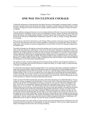#### *Chapter Four*

## **ONE WAY TO CULTIVATE COURAGE**

COURAGE and presence of mind mean the same thing. Presence of mind implies command of mind. Cowardice and lack of mental control mean about the same thing. Cowardice is rooted in hurry, the habit of hurry or lack of repose. All degrees of success are based on courage–mental or physical. All degrees of failure are based on timidity.

You can cultivate courage and increase it at every minute and hour of the day. You can have the satisfaction of knowing that in everything you do you have accomplished two things–namely, the doing of the thing itself and by the manner of its doing, adding eternally to yourself another atom of the quality of courage. You can do this by the cultivation of deliberation–deliberation of speech, of walk, of writing, of eatlng–deliberation in everything.

There is always a bit of fear where there is a bit of hurry. When you hurry to the train you are in fear that you may be left, and with that comes fear of other possibilities consequent on your being left. When you hurry to the party, to the meeting of a person by appointment, you are in fear of some ill or damage resulting from not being in time.

This habit of thought can, through an unconscious training, grow to such an extent as to pervade a person's mind, at all times and places, and bring on a fear of loss of some kind, when there is absolutely no loss to be sustained. For instance a person may hurry to catch a street car and act and feel as if a great loss would occur did he not get on that particular car, when there may be another close behind, or at most two or three minutes' waiting will bring it. Yet the fear of waiting those three minutes grows to a mountain in size, and is in that person's mind a most disagreeable possibility. Through mere habit a similar condition of hurry may characterize that person's walking, eating, writing–in short, everything he does, and will render it more and more difficult for such person to act with coolness and deliberation.

The quality of mind or emotion underlying all this hurried mental condition and consequent hurried act, is fear. Fear is but another name for lack of power to control our minds, or, in other words, to control the kind of thought we think or put out.

It is this kind of unconscious mental training (which is very common), that begets a permanent condition of mind more and more liable to large and small panics at the least interruption or trivial disappointment. It makes disappointments when none are necessary. It is the ever- opening wedge letting in more and more the thought current of fear. For if you so cultivate fear of one thing you are cultivating and increasing liability to fear in all things. If you allow yourself to sit in fear for half an hour that the carriage may not call for you in time to get to the boat or train, you are much more liable to be seized with a series of little panics at every trivial occurrence or obstacle occurring on that particular journey.

In this way does this habit of mind enter into and is cultivated in the doing of so-called little things. You are writing or sewing, or engaged in the performance of some work which is intensely interesting to you, and in which you do not like to be interrupted. If sewing, you reach for your scissors which have dropped on the floor. You do this in a momentarily impatient mood and with a spasmodic jerky action. Your mind, as the phrase runs, is "on your work." You will not take it off your work while reaching for the scissors. You are trying in mind to go on with your work and reach for the scissors at the same moment. You make the movement of muscles and the action of the body momentarily disagreeable and irksome, because you refuse for the second to put into that act the force which it demands. When unconsciously you refuse to do this, any acts will become irksome and disagreeable, because there is not force enough let on to do the act with ease. It is the endeavour to do it with a weak body. You have the power of throwing your force instantly into any muscle, so making the act easy and pleasant. This capacity for turning on force on any part you will increases through cultivating it. And you can do a great deal more and do it better through this cultivation of deliberation, for deliberation can be as quick as thought, the more the mind is trained in that direction.

If you pick up a pin or tie a shoe-string in a hurry, you do so not only because such act is irksome to you, but because you fear it may deprive you momentarily of some bit of pleasure. There you have again opened your mind to the thought current of fear–fear of losing something.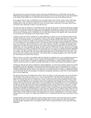The cultivation of courage commences in the cultivation of deliberation in so-called little acts like these. Deliberation and courage are as closely allied as fear and hurry. If we do not learn to govern our force properly in the doing of the smallest act we shall find such government far less easy in the doing of all acts.

If we analyze what we fear, we shall find we are in mind trying to deal with too much at once of the thing feared. There is only a relatively small amount to be dealt with now. In any transaction –in the doing of anything there is but one step to be taken at a time. We need to place what force is necessary, and no more on that one step. When that is taken we can take the next.

The more we train our minds so to concentrate on the one step, the more do we increase capacity for sending our force all in one given direction at once. Such force extends, and should be so used in the so-called minutest details of everyday life. In this way deliberation and deliberate action become habitual, and we are in a sense unconscious of making ourselves deliberate, even as after long training in the opposite and wrong direction we are unconscious of putting on the hurried frame of mind.

Timidity is often the result of looking at too many difficulties or terrors at once. In material reality we have to deal with but one at a time. If we are going to what we fear will be a disagreeable interview with a harsh, irascible, over-bearing person, we are apt to go, occupying our minds with the whole interview, setting ourselves down in the very middle of it, and seeing it in mind as necessarily trying or disagreeable. Perhaps we were thinking of it this morning while we were dressing. But it was then our proper business to dress. To dress was a necessary step for the interview and to dress well also. Possibly it occupied our thoughts while eating. But it was then our proper business to eat and get all the pleasure possible from our food. That was another step. The more reposeful our eating, the more vigorous will become our taste, and the more strength will our food give our bodies. Possibly the fear of this interview was on us as we walked to the place appointed for it. But it was then our proper business to walk and get from our walking all the pleasure he could. That was another step. Pleasure is the sure result of placing thought or force on the thing we are doing now, and pain of some sort in both present and future is the certain result of sending thought or force away from the act which needs to be done at this moment.

When we dress, eat, walk or do anything with mind placed on something else, we are making the present act irksome; we are training to make every act irksome and disagreeable; we are making the thing feared a certainty, for what we put out in thought as unpleasant is an actual thing, a reality. And the longer we continue to put it out the more force we add to it, and the more likely is it then to be realized in the physical world.

To bring us what all want and are seeking for, namely-happiness, we need to have perfect control of our mind and thought at all times and places. One most important and necessary means for gaining this, lies in this discipline regarding so-called little or trivial things, just as the discipline and movement of an army commences with the training of the private soldiers' legs and arms. If you hurry and slur over these so-called petty details, you are the easier thrown off your guard or confused at unexpected occurrences, and in life it is the unexpected that is always happening.

We need to keep always our mind present with us. We want it always on the spot ready to use in any direction. Our thought is not on the spot when we tie a shoe-string and think a mile from that shoe-string–when we mend a pencil and dwell in one of tomorrow's cares. It is then away, and if it has for a lifetime been in the habit of so straying from the act in hand to the act afar, it becomes more and more difficult to bring it back to use, and more difficult to use it promptly when it is brought back. Our thought moves from one thing to another with more than electric speed, and we can unconsciously train this quickness to be ever darting from one thing to another until it becomes almost impossible to keep it on one thing for ten consecutive seconds. On the contrary, through cultivation of repose and deliberation in all things we can train ourselves to mass and fasten our thought on anything as long as we please, to throw ourselves into any mood of mind we please, and to throw ourselves at will into sleep or a semi-conscious, dreamy state as restful as sleep. These are very small parts of the possibilities for the human mind. There is no limit to its growth or the increase of its power, and no thing coming within the limits of our imagination but can be accomplished by it. The steps to these attainments are very small, very simple and relatively easy–so simple and easy that some reject them for that reason.

Unquestionably, these powers and many results coming of their exercise were known ages ago to a relative few. But any power or any condition of mind consequent upon it can be made more clear to an Englishspeaking people, through the use of an English word or form of expression than by terms taken from other languages.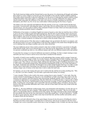The North American Indian and the Oriental had in cases the power of so dismissing all thought and making their minds in a sense a blank as to become not only insensible to fear, but this mental condition rendered their bodies almost insensible to physical suffering. It was the power of inducing this mental condition which enabled the Indian when taken captive to withstand every device of torture inflicted by his captors, and to sing his death song under the infliction of fire and a slow process of bodily mutilation too horrible for description, and which very few of our race could endure without passing into the frenzy of agony.

The Indian is far more reposeful and deliberate than the majority of our race, in both mental and physical movement. Unconsciously cultivating this repose. and living a life less artificial than ours, he increased his spiritual power, one sure result of which is that command of mind over body which can lessee physical pain, and as an ultimate possibility banish it altogether.

Deliberation of movement, or in plainer English movement of muscle so slow that our mind has time to follow it, gives one time to think in great and small emergencies. But the lack of such training causes unconscious physical action. So confirmed becomes this habit, that the body moves without us aware of it. Awkwardness, lack of address, lack of tact are all due to this lack of command of mind caused by lack of deliberation, or in other words, a trained incapacity for taking time to think or plan the proper thing to do.

The terror-stricken person if the ship seems in sudden danger runs up and down the deck to no purpose, and this physical action is an exact correspondence of the life-long condition of his mind whose thought has been ever so darting from one thing to another, just as the whim seized him.

The more deliberate person whose mind is trained to take time to think and hold or concentrate its thought, holds himself steady, and so gives himself time to see what may be the opportunities for escape. And these two persons would pick up a pin in a very different manner and with very different mental action and method.

To train then for courage is to train for deliberate movement in all things, for that is simply training to mass and hold your force in reserve and let out no more than is needed for the moment.

No quality of mind is more needful to success in all undertakings than courage, and by courage I mean not only courage to act but courage to think. In everyday business, thousands dare not think of taking a step which would involve an outlay of money above the average of their expenditure. They are appalled at mention of so large a sum. They will not, out of pure fright, entertain the idea long enough to familiarize themselves with it. Now if they reversed this mental action, and instead of immediately giving way out of life-long habit to this fright, would take time and allow the thought to rest in their minds instead of driving it out, there would in time come to them ideas concerning ways and means for meeting the additional expense, and thereby making a larger sum of money in the same time it took to make the small sum.

For instance, you say to the women who goes out to wash by the day and has never done anything else. "Mrs. A., why don't you start a laundry? You can make a great deal more money in so doing."

"I start a laundry! Where in the world is the money coming from to start a laundry?" is her reply. Here the woman instead of entertaining your idea gives way immediately to fright concerning what seems to her the immense sum required, and following the same unreasoning, headlong, panicky style of thought, sets up in a moment an opposition to your proposition. She dare think only of working for day's wages as she is called upon by those who hire her. And thousands for this reason dare not think, or find it disagreeable for them to think, of getting into some broader, more responsible and more profitable sphere of business, because they bunch at once all its possible difficulties into a mass, and out of mere habit will look only at that awful and imaginary bunch.

But Mrs. C., the more deliberate washerwoman, hears your proposition and entertains it. In time she says to herself, "Why should I not start a laundry? Other people have and have succeeded." She lives in the idea, talks to one and another about it, and finds out how they started. The longer she keeps in this current of thought the more plainly does she see the ways and means by which other people have "set up for themselves." Finally, the idea so grows upon her, that she takes some step toward that end, and then another and another, and so by degrees drifts into the business.

A person is cool and collected in face of any great danger, because he has the power of holding his mind to the thing to be done on the instant. Cowardice has no such power, and can see in mind not only the source of danger, but a score of possible results which may or may not happen to him. In battle one man may attend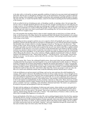to his duty with a vivid and by no means agreeable condition of mind as he sees men struck and mangled all about him. But the force or thought he can bring to bear on the performance of his duty is greater in amount than that coming of the realization of the slaughter around him, and commands and holds his body to his post. The man who runs, or would if he had the chance, cannot fix his mind on anything but the fearful possibilities of the moment.

In the so-called trivial act of picking up a pin, or threading a needle, or opening a door, I do not argue that all one's force or thought should be placed on the act, but only enough to perform the act well while the rest is kept in reserve. It is in substance the same as in picking up a weight, you would not try to expend the force in lifting one pound that you would in lifting fifty pounds. You do expend a great deal more force in the act of picking up a pin when your mind is preoccupied with something else, for you are then trying to do two things or lift two weights at once.

You will remember that anything which is done in mind, expends quite as much force as if done with the body, so that the persons who linger abed in the morning and think with dread of the breakfasts to be cooked, or the rooms to be swept, so far as expenditure of force is concerned, will be doing those acts then and there while lying on their backs.

In expending just force enough to perform any act (a capacity which will gradually grow upon you as you familiarize yourself with this idea and set your desire or demand upon it,) you cultivate and increase continually that desirable state of mind, which in everyday language is known as "having your wits about you." That means, in other words, always having, no matter what you are doing, your mental eyes open in every direction, and while outwardly you seem all intent and occupied in the one act, your mind or spirit like a vigilant sentinel is continually on the look-out, so as to give you notice in the fractional part of an instant of all that is going on about you, and also to direct you how to meet the event whatever it may be. This is not only the characteristic of courage, but of tact and address. It was this electric vigilance and mind watchfulness that gave an American officer during the Revolution, who, in the confusion of battle, suddenly found himself in front of a British regiment, the deliberation to ask, "What troops are these?" "The Royal Scots," was the reply. "Royal Scots remain as you are," was his answer, and he rode off to his own lines. That man had a mind trained to give him time to think.

On one occasion, Mrs. Farren, the celebrated English actress, discovered where her part required her to hem a handkerchief that the property man had forgotten to lay out the handkerchief needle, thread, etc. Without a moment's hesitation she sat down and imitated so naturally the motion and manner of a lady in sewing that most of her audience never suspected the omission. That act involved self possession, coolness, deliberation, presence of mind, courage. Do not all these terms imply a similar state of mind? A woman habitually hurried and flurried could not have done this, and I believe that when Mrs. Farren saw proper to pick up a pin, she did so in a much more deliberate manner than would the habitually hurried, flurried man or woman.

Cultivate deliberate act and movement in all things, and you lay more and more the solid foundation for courage, either moral or physical. But deliberate act does not always imply slowness. Just as thought moves with electric rapidity, so may it move the body when occasion requires, but the thought must be clearly planned, seen and outlined in mind before it is allowed to act on the body. It is so seen or planned, and so acts to use the muscles in the rapid thrust and parry of the skilled fencer, and similarly with the professional danseuse, in fact in all superior accomplishments, be they of painter, musician or other artist. These, however, in many cases, are but partial controls of mind. Outside of his art, the artist may have little mental control or deliberation, and as a result be "nervous" vacillating, easily disturbed, whimsical and timid. The mind is our garrison to be armed at all points and disciplined to meet any emergency.

We deal with the making (or self-making) of whole men and women, whose minds are not cultivated all in one direction and neglected everywhere else. It is far better in the end to be growing symmetrically and to be finished so far as we have grown "all around," than to have our power all concentrated on one talent or capacity, and becoming what the world calls a "Genius." The inside history of Genius is often a sad one, and shows that it brought little happiness to its possessor.

Scores and hundreds of the little acts of everyday life, such as picking dropped articles from the floor, opening and shutting drawers, laying or reaching for articles on the toilet table, and attending to minor details of dress, are done unconsciously in this hurried condition of mind, especially when some more important object engages our attention. We snatch, we clutch, we drive recklessly about in the doing of these things, and we weaken our bodies and become tired out, and finally "panicky," and easily frightened through this mental habit, for fear and cowardice slip in far more easily when the body is weak.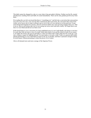This habit cannot be changed in a day or a year when it has pervaded a lifetime. Neither can the ills, mental and physical, resulting from such habit, be cured immediately. There can be only gradual growth away from them.

If in reading this you feel convinced that there is "something in it," and feel also a conviction that some portion of it suits your own case, your cure has then commenced. Real conviction, the conviction that comes from within, never leaves one or stops working to get us out of the evil way and put us in the good one. It may seem buried and forgotten for seasons, and our erroneous habits may seem growing stronger than ever. That is not so. But as convictions take root we are seeing our errors more and more clearly. We forget that at one time we were blind and did not see them at all.

If this book brings to you a conviction of a long established error it is not I individually who bring or convince. It is only that I put out more or less of a truth, which takes hold of you and the chord of truth in you senses it. If I apply the torch to the gas-jet and light it, it does not follow that I make either the fire or the gas. I am only a means or agent for lighting that gas. No man makes or invents a truth. Truth is as general and widely spread and belongs to every individual as much as the air we breathe, and there is pleasure enough in being its torch-bearer without presuming to claim the power of its Creator.

Above all demand more and more courage of the Supreme Power.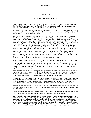#### *Chapter Five*

## **LOOK FORWARD!**

THE tendency with many people after they are a little "advanced in years" is to look backward and with regret. The "looking" should be the other way–forward. If you want to go backward in every sense, mental and physical, keep on cultivating the mood of living regretfully in your past life.

It is one chief characteristic of the material mind to hold tenaciously to the past. It likes to recall the past and mourn over it. The material mind has a never-ending series of solemn amusement, in recalling past joys, and feeling sad because they are never to come again.

But the real self, the spirit, cares relatively little for its past. it courts change. II expects to be a different individual in thought a year hence from that it is today. It is willing a thousand years hence to forget who or what it is today, for it knows that this intense desire to remember itself for what it has been retards its advance toward greater power and greater pleasure. What care you for what you were a thousand or five thousand years ago? Yet then you were something, and something far less than what you are today. You are curious you may answer to know what you were. Yes, but is curiosity worth gratifying, if for such gratification you must pay the price of dragging after you a hundred corpses of your dead selves. Those selves, those existences, have done their work for you. In doing that work they brought you possibly more pain than pleasure. Do you want ever to bear with you the memory and burden of that pain? Especially when such burden brings more pain and deprives you of pleasure. It is like the bird that should insist on carrying with it always the shell from which it was hatched. If you have a sad remembrance fling it off. If you can't fling it off, demand of the Supreme Power aid to help you do so, and such aid will come. If you want to grow old, feeble, gray and withered, go at once and live in your past, and regret your youth. Go and to revisit places and houses where you lived twenty, thirty, forty years ago; call back the dead; mourn over them; live in remembrance over the joys you had there, and say they are gone and fled and will never come again.

In so doing you are fastening dead selves all over you. If we came into another physical life with the memory of the last one, we should come into the world physically as miniature, decrepit, grizzled old men and women. Youth physically is fresh and blooming, because it packs no past sad material remembrances with it. A girl is beautiful because her spirit has flung off the past and sad remembrance of its previous life, and has therefore a chance for a period to assert itself. A woman commences to "age" then she commences to load up with regrets over a past but twenty years gone.

Your spirit demands for the body it uses grace, agility of movement and personal beauty, for it is made in the "image of God," and the infinite mind and life, beauty, grace and agility are the characteristics of that mind. In that phase of existence we called childhood and youth, the spirit has the chance to assert its desire for beauty and agility, because it has not as yet loaded up with false beliefs and regrets.

The liveliness, sprightliness and untiring playfulness of the boy or girl of ten or twelve, is due to the gladness of spirit relieved of the burden that is carried in a past existence. That burden was one of thoughts unprofitable to carry. You would physically have the agility you had at fifteen could you fling off the burden of sad remembrance and belief in error that you have been loading up with these twenty or thirty years past.

You can commence the unloading process now, by resolving, with the aid of the Supreme Power, to fling off the remembrance of everything in the past that has annoyed you, everything you regret, everything you have mourned over.

God never mourns or regrets. You as a spirit are made in His image. God it eternal life, joy and serenity. The more of these characteristics you reflect the nearer are you to the Infinite Spirit of Good.

Have you buried your dearest on earth? You do them no good by your sad thoughts concerning them. You place bar twixt their spirit and yours in thinking of them as "lost." You may in so doing not only increase and encourage in them a sad mental condition, but bring their gloomy mental condition on yourself, as many do in grieving. The greatest good we can do them is to think of them as alive like ourselves, and to fling their graves, tombstones, coffins, shrouds and ghastliness out of our minds. If we cannot do so of ourselves let us demand help of the Supreme Power to do it. We often make those who have lost their bodies feel dead when we think of them as such. If we do this they will throw back their thoughts of deadness on us.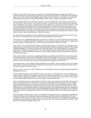Keep out of graveyards. It may seem to some that I am cold and unfeeling to say thus, but the truth, as it presents itself to me, says that the graveyard where your loved ones do not lie, is spiritually a most unhealthy place to visit. They are full of the thought of regret, death and decay. When you visit them you incorporate such thought into yourself. It is hostile and killing to youth, vigour, elasticity, cheerfulness and life.

Our graveyards are full of lies, We place a stone over the cast-off body of a friend. We place on that stone the word "died." That is not true. Your friend is not dead. It is only the body he used that lies there. But that grave is planted in your memory, and your friend in your mind lies in it. Do what we will, try to believe what we may of the eternal prolongation of life and the impossibility of anything like death in the universe, we cannot help making for ourselves when we think of that grave or revisit it, an image of that friend as dead and decaying in his or her coffin. This image we fasten in our minds, and in so doing we fasten on ourselves the thought of gloom, death and decay. The thoughts of decay and death are things and forces. When we keep them so much in mind we add elements of decay to the body.

We need as much as possible to fasten our thought on life and increasing life–life greater in its activity than any we have ever realized. That is not gained by looking backward. Look forward.

Every regret, every mournful thought, takes so much out of your life. It is force used to pile on more misery. It is force used to strengthen the habit of regretting. It is force used to make the mind colour everything with a tinge of sadness, and the longer you use force in this way the darker will grow the tinge.

Also, when we are ever going back in memory to the past and living in it in preference to the present we are bringing back on ourselves the old moods of mind and mental conditions belonging to that past. This feeling constantly indulged in will bring on some form of physical ailment. The ailment belongs to a condition of mind which we should be done with forever. If we are looking forward we shall shake it off and be better in health than ever. If the predominant mood of our minds is that of looking backward, the ultimate result will be serious to the body.

In the world's business your active, enterprising pushing man of affairs spends little time in sad reminiscence. If he did his business would suffer. His thought is forward. That thought is the real force which pushes his business forward. If he spent it in "sad memories" of the past his business would go backward. He works his success (so far as he does really succeed) by this spiritual law, though he may not know it.

You may be saying: "I have failed in life and shall always be a failure." That is because you are ever leaking back, living in your failure and thereby bringing to you more failure. Reverse this attitude of mind; work it the other way and live in future success.

Why do you say: "I am always sick?" Because you are looking back, living in your past ailments and thereby bringing more on you.

I have heard the expression used: "When the earth was young." As if this planet was now in its dotage and going to decay! In the sense of freshness, increase of life, refinement and purity in every form of life, be that of man, animal, vegetable, and farther on, this earth never was so young as it is today. Youth is life, growing and increasing in beauty and power. It is not the cruder commencement of life.

The so-called "barren rock" contains elements which will help to form the future tree and flower. Is that part of the rock which enters into tree and flower increasing or decreasing in life? It changes only into a higher and more beautiful expression of life. So do we from age to age. The rock crumbles that it may live in this higher form. The old mind must crumble and pass away to give place to the new, and make of us the newer spiritual being. As the old mind crumbles so will the old body, for the spiritual change must be accompanied by the physical change. But if you live in the understanding and spirit of this law you need not lose a physical body, but have one ever changing for the better. As you live in spiritual belief, as the old life goes out the new comes in.

Nothing in Nature–nothing in the Universe is at a standstill. Nothing goes backward. A gigantic incomprehensible Force and Wisdom moves all things forward toward greater and higher powers and possibilities. You are included in and are a part of this Force. There is of you in embryo the power of preventing the physical body your spirit uses from decaying, and the power also of using it in ways which even the fiction of today would discard as too wild for the pages of the novel.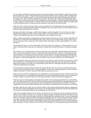For your spirit youth and ever growing youth is an eternal. heritage. If your body has "aged" that is no sign that your spirit has "aged." The spirit cannot grow old in the material sense, anymore than the sunlight can grow old. If your body has "aged" it is because that body has become the material likeness and expression of a false self or "shell" which has formed on your spirit. That false self is made up of thoughts prevalent around from an early physical age and those thoughts are untrue thoughts. A large proportion of that thought is regret. Regret is an inverted force–a turning of the mind to look backward when its natural and healthy state is to look forward, and live in the joys that are certain to come when we do look forward.

In the new life to come to our race, when we have learned to be ever looking forward to the greater joys to come and cease to look backward and drag the dead past with us, men and women are to have bodies far more beautiful and graceful than those of today.

Because their bodies will image or reflect their thoughts, and their thoughts will ever be fixed on what is beautiful and symmetrical. They will know that what is to come and what is in store for them out of the richness of the Infinite mind must exceed anything they have realized in the past.

Today with the great majority of people their attitude of mind is directly the reverse. Owing to the little trust that they have in that Power the theologian calls "God," they are ever in their minds saying: "There are no joys to come for us like our past joys. Our youth has fled. Our future on earth is tame and dull. It is as dust and ashes."

The truth that life does not end with the death of the body makes slow progress in fixing itself firmly in our minds. The kind of life a man may be living here at seventy does not end in the grave. It continues straight on.

The "old man," as we call him here, wakes up in the other side of life after losing his body an old man still. If he is one of those old men who have "outlived their day and generation," who live in their physical past and look back on it with regret–who have become "too old to learn," and think they have got through with it all, he will be just such an old man in the world of spirit. There is no sudden transformation into youth on the death of a worn-out decrepit body. As the tree falls so does it lie for a period, even in the hereafter.

But in this state he cannot stay forever. He must grow not in age but youth. To do this it is necessary not only that he should leave the old body but the old material mind that made that body. His spirit throws off that mind when he gains a new body (or is reincarnated), and he throws it off because he loses the recollection of all past sad memories and regrets.

The man should in mind be always the boy, the woman, the girl. You can as man or woman be always boy or girl in spirit without being silly or losing real dignity. You can have all the playfulness of youth with the wisdom of maturity. To have a clear powerful mind you need not be an owl.

There may be for a period a certain use for us in going back to our more recent past lives, and for a time living in them. Sometimes we are pushed back temporarily into some old condition of mind, some old experience in order to make us more alive than ever to the rags and tatters of errors in belief still clinging to us.

This may come of revisiting places and people from whom we have long been separated. For a time during such visit old associations, the moods connected with them and possibly old habits we thought long since cast off, resume their sway. We may become for a time absorbed and swallowed up in the old life. We resume temporarily an old mind or mental condition that was formerly our permanent one in that place or association.

But after a little the new mind, the new self into which we have grown during the long absence, antagonizes the old. It feels aversion and disgust for the narrow life, the false beliefs and the dull, monotonous purposeless lives about it. It (the spirit) refuses to have anything to do with the old.

Then comes a conflict between our two minds, the old and the new, which may result in temporary physical sickness. Our old life or self rises as it were out of its grave and tries to fasten itself on the new and even rule the new. The new self rejects the corpse with horror. But through thus seeing the corpse, it sees also fragments of the old self which, unperceived have all along been adhering to the new. We do not get rid of error in belief all at once, and often unconsciously retain shreds of such belief when we imagine ourselves entirely rid of them. These shreds are the remains of old thoughts and former mental conditions. Your new mind so awakened arises and pushes off what it finds left on it of the old. This pushing off is accompanied by physical disturbance,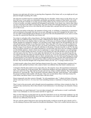because your spirit puts all its force in rejecting these fragments of the former self, as you might put all your physical strength in pushing off a snake.

Our old errors in belief must be so pushed off before the new thoughts, which come in as the old go out, can have full sway. If your spirit was contentedly and blindly carrying any scorpion of false belief, you would tumble into the pit eventually as so many are now doing. When you live several years in any certain house or town or locality, you make a spiritual self belonging to that locality. Every house, tree, road or other object you have long been in the habit of seeing there, has a part of that self in thought attached to it. Every person who knows you there has in his or her mind the self you make there, and puts that self out then they meet you or talk of you.

If you had years before in that place, the reputation of being weak, or vacillating, or impractical, or intemperate, and you returned to the people who knew you as such, although you may have changed for the better, you are very liable in their thought and recollection of you to have this old self pushed back on you, and as a result, you may for a period feel much like your former self.

You return to such place after a long absence. You have during that absence changed radically in belief. You bring with you a different mind. You are in reality a different person. But the old "you," the old self of former years will rise from every familiar object to meet you. It will come out of houses formerly inhabited by your friends, though now tenanted by strangers; you will find it in the village church, the old schoolhouse, the very rails and fence posts familiar to you long years before. More than all it will come out of the recollection of people who only knew you for what you were, say twenty years before; every such person strengthens with you this image of your former self. You talk with them on the plane of that previous life or self. For the time being you ignore yourself as it now thinks and believes; you put aside your newer self, not wishing to obtrude on your friends opinions, which to them may be unpleasant, or seem wild and visionary; you meet perhaps twenty-five or thirty people who know you only as your former self, and with all these you act out the old self, and repress the new, This for a time makes the old dead self very strong, but you cannot keep this up; you cannot warm the old corpse of yourself into life. If you try to–if you try to be and live your former self, you will become depressed mentally, and very likely sick physically; you may find yourself going into moods of mind peculiar to your former life which you thought had gone forever; you may find yourself beset with physical ailment also peculiar to that period from which you had not suffered for years. Such ailments are not real. They are but the thoughts and wrong beliefs which your old "you" is trying to fasten on you.

I visited recently a place from which I had been absent twenty-five years. I had spent there a portion of my physical youth, and had lived there with a mind or belief very different from that which I entertain now.

I returned to find the place dead in more senses than one. The majority of my old acquaintances had passed away. Their remains lay in the graveyards. But I realized this deadness still more among my contemporaries who were said to be living. They had lost the spur and activity of their youthful ambition. They had resigned themselves to "growing old." They lived mostly in the past, talked of the past "good old times," and compared the present and future unfavourably with the past. They were in mind about where I left them twenty-five years before, and about where I was in mind when I did leave them.

Drawn temporarily into their current of thought ''for old acquaintance sake," I talked with them of the past, and for some days lived in it. At every turn I met something animate or inanimate to bring back my past life to me.

Then I went to the graveyards, and in thought renewed acquaintance with those whose remains lay there. So I lived for days unconscious, that in these moods of sad reminiscence I was drawing to me elements of decay sadness.

First becoming very much depressed, I was next taken strangely sick, and became so weak I could hardly stand. I was continually in a nervous tremor and full of vague fears.

Why was this? Because in going back into my past life I had drawn on me my old mental conditions–my old mind–my own self of that period. But since that time I had grown a new mind–a new self, which thought and believed very differently from the old.

The new self into which I had grown since leaving that locality would not accept the old. It shook it off. It was the shaking off process that caused me the physical disturbance. There was a conflict between these two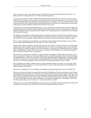forces, one trying to get in, the other to keep it out. My body was the battle-ground between the two. No battle-ground is a serene place to live on when the battle is going on.

It was necessary in this case that I should look backward and live backward for a season to show me more clearly the evil of doing so. For no lesson can be really learned without an experience. It was not merely the evil of living backward in that particular locality that I came to see clearly. I saw also for the first time, where I had unconsciously been living in the past, and living backward in numberless ways and thereby unconsciously, using up force, which would have pushed me forward in every sense.

I understood, also, after passing through this process, why weeks before visiting that place I had felt depressed, and experienced also a return of certain moods of mind I had not felt for years. It was because my spirit was already in that place and working through this change. The culminating point was reached when my material self touched that locality.

All changes are wrought out in spirit often before our material senses are in the least aware of them. Let no one imagine that because I write of these Spiritual Laws that I am able to live fully in accordance with them. I am not above error or mistake. I tumble into pits occasionally, get off the main track–and get on again.

Power comes of looking forward with hope–of expecting and demanding the better things to come. That is the law of the Infinite Mind, and when we follow it we live in that mind.

Nature buries its dead as quickly as possible and gets them out of sight. It is better, however, to say that Nature changes what it has no further use for into other terms of life. The live tree produces the new leaf with each return of spring. It will have nothing to do with its dead ones. It treasures up no withered rose leaves to bring back sad remembrance. When the tree itself ceases to produce leaf and blossom, it is changed into another form and enters into other forms of vegetation.

I do not mean to imply that we should try to banish all past remembrance. Banish only the sad part. Live as much as you please in whatever of your past that has given you healthy enjoyment. There are remembrances of woodland scenes, of fields of waving rain. of blue skies and white-capped curling billows, and many another of Nature's expressions as connected with your individual life, that can be recalled with pleasure and profit. These are not of the decaying past. These are full of life, freshness and beauty, and are of today.

But if with these any shade of sadness steals in, reject it instantly. Refuse to accept it. It is not a part of the cheerful life-giving remembrance. It is the cloud which if you give it the least chance will overshadow the whole and turn it all to gloom.

The science of happiness lies in controlling our thought and getting thought from sources of healthy life.

When your mind is diverted from possibly the long habit of thinking and living in the gloomy side of things and admitting gloomy thought, you will find to your surprise that the very place the sight of which gave you pain will give you pleasure, because you have banished a certain unhealthy mental condition, into which you before allowed yourself to drift. You can then revisit the localities connected with your past, remember and live only in the bright and lively portion of that past, and reject all thought about "sad changes," and "those who have passed away, never to return, etc." I have proven this to myself.

Is there any use or sense in admitting things to have access to you which only pain and injure you? Does God commend any self-destroying, suicidal act? Grief does nothing but destroy the body.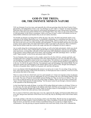#### *Chapter Six*

## **GOD IN THE TREES; OR, THE INFINITE MIND IN NATURE**

YOU are fortunate if you love trees, and especially the wild ones growing where the Great Creative Force placed them, and independent of man's care. For all things we call "wild" or "natural" are nearer the Infinite Mind than those which have been enslaved, artificialized and hampered by man. Being nearer the Infinite they have in them the more perfect Infinite Force and Thought That is why when you are in the midst of what is wild and natural–in the forest or mountains, where every trace of man's works is left behind you feel an indescribable exhilaration and freedom that you do not realize elsewhere.

You breathe an element ever being thrown off by the trees, the rocks, the birds and animals and by every expression of the Infinite Mind about you. It is healthfully exhilarating. It is something more than air. It is the Infinite Force and Mind as expressed by all these natural things, which is acting on you. You cannot get this force in the town, nor even in the carefully cultivated garden. For there the plants and trees have too much of man's lesser mind in them–the mind which believes that it can improve the universe. Man is inclined to think that the Infinite made this world in the rough, and then left it altogether for him to improve,

Are we really doing this in destroying the native forests, as well as the birds and animals, which once dwelt in them? Are our rivers, many of them laden with the filth of sewage and factory, and our ever expanding cities and towns, covering miles with piles of brick and mortar, their inhabitants crammed into the smallest living quarters, honeycombed with sewers below, and resounding with rattle and danger above·–are these really "improvements" on the Divine and natural order of things?

You are fortunate when you grow to a live, tender, earnest love for the wild trees, animals and birds, and recognize then all as coming from and built of the same mind and spirit as your own, and able also to give you something very valuable in return for the love you give them. The wild tree is not irresponsive or regardless of a love like that. Such love is not a myth or mere sentiment. It is a literal element and force going from you to the tree. It is felt by the spirit of the tree. You represent a part and belonging of the Infinite Mind. The tree represents another part and belonging of the Infinite Mind. It has its share of life, thought and intelligence. You have a far greater share, which is to be greater still–and then still greater.

Love is an element which though physically unseen is as real as air or water. It is an acting, living, moving force, and in that far greater world of life all around us, of which physical sense is unaware, it moves in waves and currents like those of the ocean.

There is a sense in the tree which feels your love and responds to it. It does not respond or show its pleasure in our way or in any way we can now understand. Its way of so doing is the way or the Infinite Mind of which it is a part. The ways of God are unsearchable and past finding out. They are not for us to fathom. They are for us only to find out and live out, in so far as they make us happier. There is for all in time a serenity and "peace of mind which passeth all understanding;" but this peace cannot be put through a chemical analysis or the operation of the dissecting room.

As the Great Spirit has made all things, is not that All Pervading Mind and wisdom in all things? If then we love the trees, the rocks and all things as the Infinite made them, shall they not in response to our love give us each of their peculiar thought and wisdom? Shall we not draw nearer to God through a love for these expressions of God in the rocks and trees, birds and animals?

Do we expect to find God, realize him more every day, appreciate the mighty and Immeasurable Mind more every day, and get more and more of His Power in us every day only by dwelling on the word of three letters, G-o-d?

You laugh, perhaps, at the idea of a tree having a mind–a tree that thinks. But the tree has an organization like your own in many respects. It has for blood its sap. It has a circulation. It has for skin its bark. It has for lungs its leaves. It must have its food. It draws nourishment from soil, air and sun. It adapts itself to circumstances. The oak growing in exposed situations roots itself more firmly in the soil to withstand the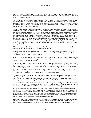tempest. The pines growing thickly together take little root, for they depend on numbers to break the wind's force. The sensitive plant recoils at the approach of man's hand; many wild plants, like Indians, will not grow or thrive in artificial conditions.

Yet with all these physical resemblances to your own body, you deny the tree or plant such share of mind as the Infinite gives it? No, not that. The tree is a part of the Infinite Mind, even as you are. It is one of the All Pervading Mind's myriads of thoughts. We see only such part or form of that thought as is expressed in trunk, root, branch and leaf, even as with ourselves we see only our physical bodies. We do not see our spiritual part. Nor do we see in the tree its spiritual part.

The tree is then literally one of God's thoughts. That thought is worth our study. It contains some wisdom we have not yet got hold of. We want that wisdom. We want to make it a part of ourselves. We want it, because real wisdom or truth brings us power. We want power to give us better bodies, sounder bodies, healthier bodies. We want entire freedom from sickness. We want lighter hearts and happier minds. We want a new life and a new pleasure in living for each day. We want our bodies to grow lighter, not heavier with advancing years. We want a religion which will give us certainty instead of hopes and theories. We want a Deity it is simply impossible to doubt. We want to feel the Infinite Mind in every atom of our beings. We want with each day to feel a new pleasure in living and, commencing where we left off yesterday, to find something new in what we might have thought to be "old" and worn out yesterday. When we come into the domain of the Infinite Mind and are ever drawing more of that mind to us and making it a part of us, nothing can seem "flat, stale and unprofitable."

We want powers now denied the mortal. We want to be lifted above the cumbrousness of the mortal body–above the pains of the mortal body–above the death of the mortal body.

Can the trees give us all this? They can help very much so to do when we get into their spirit; when we recognize and realize more and more the reality of that part of the Infinite which they express, and when we can cease to look on them as inanimate creatures.

If you can look on trees as fit only for lumber and firewood you get very little life from them. They feel then toward you as you would feel towards a person who regarded you as a thing without mind or sense and fit only to he sawed into lumber or firewood.

When we come really to love God or the Infinite Spirit of Good, we shall love every part of God. A tree is a part of God. When we come to send out our love to it, it will send its love back, and that love–that literal mind and element coming from the tree to us will enter our beings, add itself to them and give us its knowledge and power. It will tell us that the mind and force it represents of the Infinite has far better uses for man than to be turned into fuel or lumber. Their love will tell us that the forests piercing the air as they do with their billions of branches, twigs and leaves, are literal conductors for a literal element which they bring to the earth. This element is life giving to man, in proportion to his capacity for receiving it.

The nearer we are to a conception of the Infinite Mind–the clearer is it seen by us that this mind pervades all things–the closer we feel our relationship to the tree, bird or animal as a fellow creature, the more can we absorb of the vitalizing element given out by all these expressions of mind. The person who looks on trees as fit only for fuel and lumber, can get but little of this element, which to the finer mind is an elixir of life.

The mind which sees in tree, bird, animal, fish or insect only a thing lacking intelligence and fit only to destroy or enslave for amusement, repels from all of these a spirit or element, which, if recognized, would be received or absorbed, and, if absorbed, would bring a new life and power to mind and body.

We get the element of love only in proportion as we have it in us. We can only draw this element from the Supreme Power. We draw it in proportion as we admire every expression of the Infinite, be that expression tree, or shrub, or insect, or bird, or other form of the Natural, We cannot destroy or mutilate what we realty love. The more of these things we really love, the more of their element of love flows to us. That element is for us life as real Is the tree itself. The more of that life we are receiving and absorbing, the more shall we realize a power in life, which can only be expressed as miraculous.

Destroy the forests, and you lessen temporarily the quantity of this element given out by them. Replace the wild tree by exotics or cultivated varieties, and such element is adulterated, and the vigour it can give is lessened. Cover the whole earth with cities, towns, villages and cultivated fields, and we interfere with a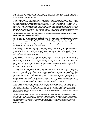supply of life-giving element which the forests in their natural state only can furnish. Keep ourselves dead to the recognition of the tree as a part of the Infinite Spirit, and we are dead and unable to absorb of the Infinite Spirit working in and through the tree.

The trees are always giving out an element of life as necessary to man as the air he breathes. Man's works, as soon as finished, are giving out dust and decay. In our great cities we take in dust with every breath. Nothing in this Universe is still or in absolute rest. Our miles of stone, brick and mortar are ever in movement, slowly and imperceptibly grinding to an impalpable dust. Cloth, leather, iron, and every material worn and used by man is ever wearing into dust. Look at the dust which in a single day accumulates in your room, on shelf and table, or fine garment, even when its windows are not opened. A gigantic ever-moving force is at work there taking everything to pieces in it. Let a sunbeam enter through a shutter's crack and see the innumerable motes floating in it. Think of the myriads of these, too minute to rank even as atoms that you cannot see.

All this is second-hand element which is breathed and absorbed into both body and spirit. But trees and all natural things send out element full of life.

Our bodies also are ever throwing off through the skin matter they can no longer use. In the great city thousands on thousands of bodies are throwing out disused element too fine to rank even as dust. It is thrown off by sick bodies, and many are sick on their feet. This we breathe. We breathe each other over and over again.

This unseen cloud of matter pervading crowded cities is not life sustaining. It has in it a certain life as all things have life, but it is not fit for man's growing life.

When we get eternal life, health and unalloyed happiness, the attitude of our minds will be entirely changed toward tree, bird, animal, and everything in Nature. We shall see that when we really love all these expressions of the Infinite Mind, tree, plant, bird and animal, and leave them entirely alone, they will send out to us in love their part and quality of the Infinite. It will flow to us a new life, and the source of a life of far greater power and happiness than the present one.

"But how shall we live," one asks," unless we cut down the tree for fuel and lumber, slay bird and beast for food?" Do you think there is no other life or way of life than the one we now live? Do you think in the exalted and refined mental condition we call "Heaven" that there will be killing of animals, mutilation of trees and destruction of any material expression of the Supreme Wisdom? Do you think we can grow into that higher and happier state of mind without knowledge of the laws by which only it can be attained? As well expect to sail a ship around the world without knowledge of seamanship or navigation. We are not to drift into Heaven in the way a cask rolls down hill.

We cannot cease immediately from the enslavement or slaughter of tree, bird or animal, nor from the eating of animal food. So long as the body craves and relishes such food, it should have it. When the body is changed by our spirit and belief to finer elements, the stomach and palate will reject meat of every description. It will not abide the taste or smell of slaughtered creatures. When the spirit settles these matters it does so definitely and forever. Man's error in the past has often been that of endeavouring to spiritualize or change himself of his own individual will into higher and finer conditions. To this end he has enforced on himself and others fasts and penances, and abstinence from pleasures which his nature craved. He has never by such methods saved himself from sickness, decay and physical death. He has never by this method regenerated or renewed his body. He has lost his body eventually even as the glutton and drunkard lost theirs.

The ascetic has not trusted in the Supreme to raise him higher in the scale of being, but in himself and his own endeavour. This is one of the greatest sins, because it cuts such a person off temporarily from the Supreme and the life, the Supreme will send when trusted. There is no way out of any sin, any excess, any injurious habit, but through an entire dependence on the Supreme Power to take away the gnawing, the craving, the desire peculiar to that habit. Otherwise the man may seem reformed outwardly. He is never reformed inwardly. Repression is not reform.

The bigot of every age and creed has been the person thinking he could of himself make himself an angel. Such belief makes the man stand still in his tracks. The Supreme is always saying, "Come to me. Demand of me. Find me in all created things and then I shall be ever sending you new thoughts, new things, new ideas, new element which shall change your tastes, your appetites–which shall gradually take away grossness, eliminate gradually fierce, insatiate, lawless desire and hurricane of passion, and bring to you pleasures you cannot now realize."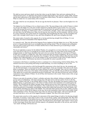We shall see more and more clearly in time that when we get the higher, finer and more enduring life (to which all must grow), we shall have the greatest possible inducement to give the trees, plants, birds, animals and all other expressions of the Infinite their lives and their fullest liberty. We shall be compelled to love them. What we really love we cannot abuse, kill or enslave.

We cage a bird for our own pleasure. We do not cage the bird for its pleasure. That is not the highest love for the bird.

The highest love for all things is for us a literal source of life. The more things in the world of Nature to which we can give the higher love, the more of their natural love and life shall we get in return. So, as we grow, refine and increase this power of recognizing and loving the bird, the animal, the insect or, in other words, the Infinite in all things, we shall receive a love, a renewed life, strength, vigour, cheer and inspiration from not only these, but the falling snow-flake, the driving rain, the cloud, the sea, the mountain. And this will not be a mere sentiment, but a great means for recuperating and strengthening the body, for this strengthens the spirit with a strength which comes to stay, and what strengthens the spirit must strengthen the body.

We cannot make of ourselves this capacity for so loving and drawing strength from all things. It is our belonging, but must be demanded of the Supreme Power.

It is natural to ask, "But why did not the Supreme Power implant at first this higher love in us? Why has that power so long permitted man to go on slaughtering and marring nature? Why are tempests and earthquakes and wars and so much in the forces of Nature and the forces of man allowed to go on and bring so much catastrophe and misery?"

We do not undertake to answer for the Infinite Wisdom. It is enough for us to know that there is a road leading away from all we call evil. It is enough for us to know that the time is to come when as new beings with changed minds we shall forget absolutely that such evils ever existed. We shall see in the forces of Nature, be they fire or tempest, or aught else, only what is good and what can bring us happiness. We are not always to be of the material which can be injured by fire or tempest. The fiery furnace did not affect the three jewish children who walked through it, nor was the tempest of any inconvenience to the Christ of Judea when he walked on the waters. What history has shown to be possible for some is possible for all.

Communion with Nature is something far above a sentiment. It is a literal joining with the Infinite Being. The element received in such joining and acting on mind and body, is as real as anything we see or feel.

The ability so to join ourselves with God through His expressions in the cloud, the tree, the mountain and sea, the bird and animal, is not possessed by all in equal degree. Some are miserable when alone in the forest, plain or mountain. These are literally out of their element or current of thought. They can live with comfort only in the bustle of the town or the chatter of the household. They can find life only in artificial surroundings. Their spirits are covered with a parasitical growth of artificiality. This cuts them off from any sense of God's expressions in the solitude of Nature. So cut off they feel lonesome in the woods. Nature seems wild, savage and gloomy to them.

Whoever can retire for periods to Nature's solitudes and enjoy that solitude, feeling no solitude at all, but a joyous sense of exhilaration, will return among men with more power and new power. For he or she has literally "walked with God" or the Infinite Spirit of Good. The seer, the prophet, the miracle workers of the Biblical history so gained their power. The Christ of Judea retired to the mountains to be reinforced by the Infinite. The Oriental and the Indian, through whom superior powers have been expressed, loved Nature's solitudes. They could live in them with pleasure. They could muse by rock or rivulet or the ocean for hours, almost unconscious of immediate surroundings, because their spirits had strayed far from their bodies, and were dreamily absorbing new ideas of the Infinite. You will rarely find a person who as ruler, soldier, inventor, discoverer, poet or writer left his impress on the race, but loved communion where God is most readily found. There inspiration is born. The poet cannot sing of the city laid out at right angles, with sewer beneath and elevated road above, as he can of the rugged mountain wrapped "like Jura in her misty shroud."

We cannot train ourselves to this capacity for enjoyment of the natural things of earth or for drawing strength from them. To assume a virtue when we have it not, is to be forced, "gushy" and sentimentally silly. But when we demand persistently of the Infinite the new mind, which can find and feel God in the forest or on the sea, in the storm and tempest, and feel not only safety, but absorb power and strength, when Nature's forces seem in their most angry mood, that mind with that capacity will gradually take place of the old one, and with the "new mind" all things will become new.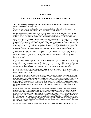#### *Chapter Seven*

## **SOME LAWS OF HEALTH AND BEAUTY**

YOUR thoughts shape your face, and give it its peculiar expression. Your thoughts determine the attitude, carriage, and shape of your whole body.

The law for beauty and the law for perfect health is the same. Both depend entirely on the state of a your mind; or, in other words, on the kind of thoughts you most put out and receive.

Ugliness of expression comes of unconscious transgressions of a law, be the ugliness in the young or the old. Any form of decay in a human body, any form of weakness, anything in the personal appearance of a man or woman which makes them repulsive to you, is because their prevailing mood of mind has made them so.

Nature plants in us what some call "instinct," what we call the higher reason, because it comes of the exercise of a finer set of senses than our outer or physical senses, to dislike everything that is repulsive or deformed, or that shows signs of decay. That is the inborn tendency in human nature to shun the imperfect, and seek and like the relatively perfect. Your higher reason is right in disliking wrinkles or decrepitude, or any form or sign of the body's decay, for the same reason you are right in disliking a soiled or torn garment. Your body is the actual clothing, as well as the instrument used by your mind or spirit. It is the same instinct, or higher reason making you like a well-formed and beautiful body, that makes you like a new and tasteful suit of clothes.

You and generations before you, age after age, have been told it was an inevitable necessity, that it was the law and in the order of nature for all times and all ages, that after a certain period in life your body must wither and become unattractive, and that even your minds must fail with increasing years. You have been told that your mind had no power to repair and recuperate your body–to make it over again, and make it newer and fresher continually.

It is no more in the inevitable order of Nature, that human bodies should decay as peoples' bodies have decayed in the past, than that man should travel only by stage-coach as he did sixty years ago; or that messages could be sent only by letter as they were fifty years ago, before the use of the electric telegraph; or that your portraits could be taken only by the painter's brush as they were half a century ago, before the discovery that the sun could imprint an image of yourself, an actual part of yourself, on a sensitive surface prepared for it.

It is the impertinence of a dense ignorance for any of us to say what is in or what is to be in the order of nature. It is a stupid blunder to look back at the little we know of the past, and say that it is the unerring index finger telling us what is to be in the future.

If this planet has been what geology teaches it has been,–a planet fuller of coarser, cruder, and more violent forces than now; abounding in forms of coarser vegetable, animal, and even human life and organization than now; of which its present condition is a refinement and improvement as regards vegetable, animal, and man,–is not this the suggestion, the hint, the proof, of a still greater refinement and improvement for the future; a refinement and improvement going on now? Does not refinement imply greater power, as the greater power of the crude iron comes out in steel; and are not these greater and as yet almost unrecognized powers to come out of the highest and most complex form of known organization, man; and are all of man's powers yet known?

Internally, secretly, among the thinking thousands of this and other lands, is this and many other questions now being asked: "Why must we so wither and decay, and lose the best that life is worth living for, just as we have gained that experience and wisdom that best fits us to live?" The voice of the people is always at first a whispered voice. The prayer or demand or desire of the masses is always at first a secret prayer, demand, wish, or desire, which one man at first dare scarcely whisper to his neighbour for fear of ridicule. But it is a law of Nature, that every demand, silent or spoken, brings its supply of the thing wished for in proportion to the intensity of the wish, and the growing numbers so wishing; who, by the action of their minds upon some one subject, set in motion that silent force of thought, not as yet heeded in the world's schools of philosophy, which brings the needed supply.

Millions so wished in silence for means to travel more rapidly, to send intelligence more rapidly; and this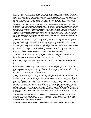brought steam and the electric telegraph. Soon other questions and demands are to be answered, questions ever going out in silence from multitudes; and, in answering them, in at first attempting to carry out and prove the answers and the means shown to accomplish or realise many things deemed impossible or visionary, there will be mistake and stupidity, and blunder and silliness, and breakdowns and failures, and consequent ridicule; just as there were ten smashes on railways, and ten bursted boilers in the earlier era of the use of steam, to one of today. But a truth always goes straight ahead despite mistake and blunder, and proves itself at last.

There are two kinds of age,–the age of your body, and the age of your mind. Your body in a sense is but a growth, a construction, of today, and for the use of today. Your mind is another growth or construction millions of years old. It has used many bodies in its growth. It has grown from very small beginnings to its present condition, power, and capacity in the use of these many bodies. You have, in using these bodies, been far ruder and coarser than you are now. You have lived as now you could not live at all, and in forms of life or expression very different from the form you are now using; and each new body or young body you have worn has been a new suit of clothes for your mind; and what you call "death" has been and is but the wearing out of this suit through ignorance of the means, not so much of keeping it in repair, as of building it continually into a newer and newer freshness and vitality.

You are not young relatively. Your present youth means that your body is young. The older your spirit, the better can you preserve the youth, vigour, and elasticity of your body. Because the older your mind, the more power has it gathered from its many existences. You can use that power for the preservation of beauty, of health, of vigour, of all that can make you attractive to others. You can also unconsciously use the same power to make you ugly, unhealthy, weak, diseased, and unattractive. The more you use this power in either of these directions, the more will it make you ugly or beautiful, healthy or unhealthy, attractive or unattractive; that is, as regards unattractiveness for this one existence. Ultimately you must, if not in this in some other existence, be symmetrical; because the evolution of the mind, of which the evolution of our bodies from coarser to higher forms is but a crude counterpart, is ever toward the higher, finer, better, and happier.

That power is your thought. Every thought of yours is a thing as real, though you cannot see it with the physical, or outer eye, as a tree, a flower, a fruit. Your thoughts are continually moulding your muscles into shapes and manner of movement in accordance with their character.

If your thought is always determined and decided, your step in walking will be decided. If your thought is permanently decided, your whole carriage, bearing, and address will show that if you say a thing you mean it.

If your thoughts are permanently undecided, you will have a permanently undecided gesture, address, carriage, or manner of using your body; and this, when long continued, will make the body grow decidedly misshapen in some way, exactly as when you are writing in a mood of hurry, your hurried thought makes misshapen letters, and sometimes misshapen ideas; while your reposeful mood or thought makes well-formed letters and graceful curves as well as well-formed and graceful ideas.

You are every day thinking yourself into some phase of character and facial expression, good or bad. If your thoughts are permanently cheerful, your face will look cheerful. If most of the time you are in a complaining, peevish, quarrelsome mood, this kind of thought will put ugly lines on your face; they will poison your blood, make you dyspeptic, and ruin your complexion; because then you are in your own unseen laboratory of mind, generating an unseen end poisonous element, your thought; and as you put it out or think it, by the inevitable Law of nature it attracts to it the same kind of thought-elemunt from others. You think or open your mind to the mood of despondency or irritability, and you draw more or less of the same thought-element from every despondent or irritable man or woman in your town or city. You are then charging your magnet, your mind, with its electric thought-current of destructive tendency, and the law and property of thought connects all the other thought-currents of despondency or irritability with your mental battery, your mind. If we think murder or theft, we bring ourselves by this law into spiritual relationship and rapport with every thief or murderer in the world.

Your mind can make your body sick or well, strong or weak, according to the thought it puts out, and the action upon it of the thought of others. Cry "Fire!" in a crowded theatre, and scores of persons are made tremulous, weak, paralyzed by fear. Perhaps it was a false alarm. It was only the thought of fire, a horror acting on your body, that took away its strength.

The thought or mood of fear has in cases so acted on the body as to turn the hair white in a few hours.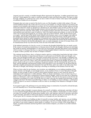Angered, peevish, worried, or irritable thought effects injuriously the digestion. A sudden mental shock may lose one's whole appetite for a meal, or cause the stomach to reject such meal when eaten. The injury so done the body suddenly, in a relatively few cases, by fear or other evil state of mind, works injury more gradually on millions of bodies all over the planet.

Dyspepsia does not come so much of the food we eat, as of the thoughts we think while eating it. We may eat the healthiest bread in the world; and if we eat it in a sour temper, we will put sourness in our blood, and sourness in our stomachs, and sourness on our faces. Or if we eat in an anxious frame of mind, and are worrying all the time about how much we should eat or should not eat, and whether it may not hurt us after all, we are consuming anxious, worried, fretful thought-element with our food and it will poison us. If we are cheerful and chatty and lively and jolly while eating, we are putting liveliness and cheer into ourselves, and making such qualities more and more a part of ourselves. And if our family group eat in silence, or come to the table with a sort of forced and resigned air, as if saying, each one to him or herself, "Well, all this must be gone over again;" and the head of the family buries himself in his business cares, or his newspaper, and reads all the murders and suicides and burglaries and scandals for the last twenty-four hours; and the queen of the household buries herself in sullen resignation or household cares, then there are being literally consumed at that table, along with the food, the thought-element of worry and murder and suicide and the morbid element, which loves to dwell on the horrible and ghastly; and, as a result, dyspepsia, in some of its many forms, will be manufactured all the way down the line, from one end of the table to the other.

If the habitual expression of a face be a scowl, it is because the thoughts behind that face are mostly scowls. If the corners of a mouth are turned down, it is because most of the time the thoughts which govern and shape that mouth are gloomy and despondent. If a face does not invite people, and make them desire to get acquainted with its wearer, it is because that face is a sign advertising thoughts behind it which the wearer may not dare to speak to others, possibly may not dare to whisper to himself.

The continual mood of hurry, that is, of being in mind or spirit in a certain place long before the body is there, will cause the shoulders to stoop forward; because in such mood you do literally send your thought, your spirit, your real though invisible self, to the place toward which your power, your thought, is dragging your body head first and through such life-long habit of mind does the body grow as the thought shapes it. A "selfcontained" man is never in a hurry; and a self-contained man keeps or contains his thought, his spirit, his power, mostly on the act or use he is making at the present moment with the instrument his spirit uses, his body; and the habitually self-possessed woman will be graceful in every movement, for the reason that her spirit has complete possession and command of its tool, the body; and is not a mile or ten miles away from that body in thought, and fretting or hurrying or dwelling on something at that distance from her body.

When we form a plan for any business, any invention, any undertaking, we are making something of that unseen element, our thought, as real, though unseen, as any machine of iron or wood. That plan or thought begins, as soon as made, to draw to itself, in more unseen elements, power to carry itself out, power to materialize itself in physical or visible substance. When we dread a misfortune, or live in fear of any ill, or expect ill luck, we make also a construction of unseen element, thought,–which, by the same law of attraction, draws to it destructive, and to you damaging, forces or elements. Thus the law for success is also the law for misfortune, according as it is used; even as the force of a man's arm can save another from drowning, or strike a dagger to his heart. Of whatever possible thing we think, we are building, in unseen substance, a construction which will draw to us forces or elements to aid us or hurt us, according to the character of thought we think or put out.

If you expect to grow old, and keep ever in your mind an image or construction of yourself as old and decrepit, you will assuredly be so. You are then making yourself so.

If you make a plan in thought, in unseen element, for yourself, as helpless, and decrepit, such plan will draw to you of unseen thought-element that which will make you weak, helpless, and decrepit. If, on the contrary, you make for yourself a plan for being always healthy, active, and vigorous, and stick to that plan, and refuse to grow decrepit, and refuse to believe the legions ot people who will tell you that you must grow old, you will not grow old. It is because you think it must be so, as people tell you, that makes it so.

If you in your mind are ever building an ideal of yourself as strong, healthy, and vigorous, you are building to yourself of invisible element that which is ever drawing to you more of health, strength, and vigour. You can make of your mind a magnet to attract health or weakness. If you love to think of the strong things in Nature, of granite mountains and heaving billows and resistless tempests, you attract to you their elements of strength.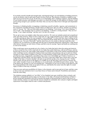If you build yourself in health and strength today, and despond and give up such thinking or building tomorrow, you do not destroy what in spirit and of spirit you have built up. That amount of element so added to your spirit can never be lost but you do, for the time, in so desponding, that is, thinking weakness, stop the building of your health-structure; and although your spirit is so much the stronger for that addition of element, it may not be strong enough to give quickly to the body what you may have taken from it through such despondent thought.

Persistency in thinking health, in imagining or idealizing yourself as healthy, vigorous, and symmetrical, is the cornerstone of health and beauty. Of that which you think most, that you will be, and that you will have most of. You say "No." But your bed-ridden patient is not thinking, "I am strong;" he or she is thinking, "I am so weak." Your dyspeptic man or woman is not thinking, "I will have a strong stomach." They are ever saying, "I can't digest anything;" and they can't, for that very reason.

We are apt to nurse our maladies rather than nurse ourselves. We want our maladies petted and sympathized with, more than ourselves. When we have a bad cold, our very cough sometimes says to others, unconsciously, "I am this morning an object for your sympathy. I am so afflicted!" It is the cold, then, that is calling out for sympathy. Were the body treated rightly, your own mind and all the minds about you would say to that weak element in you, "Get out of that body!" and the silent force of a few minds so directed would drive that weakness out. It would leave as Satan did when the man of Nazareth imperiously ordered him. Colds and all other forms of disease are only forms of Satan, and thrive also by nursing. Vigour and health are catching also as well as the measles.

What would many grown-up people give for a limb or two limbs that had in them the spring and elasticity of those owned by a boy twelve years old; for two limbs that could climb trees, walk on rail fences, and run because they loved to run, and couldn't help running? If such limbs so full of life could be manufactured and sold, would there not be a demand for them by those stout ladies and gentlemen who get in and out of their carriages as if their bodies weighed a ton? Why is it that humanity resigns itself with scarcely a protest to the growing heaviness, sluggishness, and stiffness that comes even with middle age? I believe, however, we compromise with this inertia, and call it dignity. Of course a man and a father and a citizen and a voter and a pillar of the State–of inertia–shouldn't run and cut up and kick up like a boy, because he can't. Neither should a lady who has grown to the dignity of a waddle run as she did when a girl of twelve, because she can't, either. Actually we put on our infirmities as we would masks, and hobble around in them, saying, "This is the thing to do, because we can't do anything else." Sometimes we are even in a hurry to put them on; like the young gentleman who sticks an eye-glass to his eye, and thereby the sooner ruins the sight of a sound organ, in order to look tony or bookish.

There are more and more possibilities In Nature, in the elements, and in man and out of man; and they come as fast as man sees and knows how to use these forces in Nature and in himself. Possibilities and miracles mean the same thing.

The telephone sprung suddenly on "our folks" of two hundred years ago would have been a miracle, and might have consigned the person using it to the prison or the stake: all unusual manifestations of Nature's powers being then attributed to the Devil, because the people of that period had so much of the Devil, or cruder element, in them as to insist that the universe should not continually show and prove higher and higher expressions of the higher mind for man's comfort and pleasure.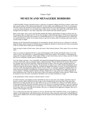#### *Chapter Eight*

## **MUSEUM AND MENAGERIE HORRORS**

A MENAGERIE of beasts and birds means a collection of captured walking and flying creatures, taken from their natural modes of life, deprived permanently of such modes, and suffering more or less in consequence. The bird, used to the freedom of forest and air is imprisoned in the most limited quarters. Its plumage there is never as fresh and glossy as in its natural state. It does not live as long. The captive life of the many species brought from the tropics is very short, especially of the smaller and more delicate species.

Bears, lions, tigers, deer, wolves and all other animals like liberty and freedom of range as well as man. In the menagerie they are deprived of it. The air they breathe is often fetid and impure. To the burrowing animal, earth is as much a necessity and comfort as a comfortable bed is to us. The captured burrower is often kept on a hard board floor, which, in its restless misery to get into its native earth, it scratches and wears away in cavities inches in depth.

Monkeys by the thousand die prematurely of consumption, because forced to live in a climate too cold and damp for them, and no amount of artificial heat can supply the element to which they have been accustomed in the air of their native tropic groves and jungles.

Seals are kept in tanks of fresh water, when salt water is their natural element. Their captive lives are always short.

There is no form of organized life but is a part and belonging of the locality and latitude where in its wild state it is born. The polar bear is a natural belonging of the Arctic regions. The monkey is a belonging and outgrowth of tropical conditions. When either of these is taken from climes native to them, and out of which they do not voluntarily wander, pain is inflicted on them.

Go to the cheap "museum," now so plentiful, and regard the bedraggled plumage and apparent sickly condition of many of the birds, natives of distant climes, imprisoned there. You see them but for an hour. Return in a few months and you will not find them. What has become of them. They have died, and their places are supplied by others likewise slowly dying. The procession of captives so to suffer and die prematurely never ceases moving into these places. Ships are constantly bringing them hither. An army of men distributed all over the world, and ranging through the forests of every clime, is constantly engaged in trapping them. For what reasons are all these concentrations of captured misery, now to be found in every large town and city of our country? 7 Simply to gratify human curiosity. Simply that we may stand a few minutes and gaze at them behind their bars. What do we then learn of their real natures and habits in these prisons? What would be learned of your real tastes, inclinations and habits were you kept constantly in a cage?

Is the gratification of this curiosity worth the misery it costs?

If a bird wooed by your kindness comes and builds its nest in a tree near your window, and there rears its brood, is not the sight it affords from day to day worth a hundred times more than that of the same bird, deprived of its mate and shut up in a cage? Will you not, is in its freedom you study its real habits and see its real and natural life, feel more and more drawn to it by the tie of a common sympathy, as you see evidenced in that life so much that belongs to your own? Like you, it builds a home; like you, it has affection and care for its mate; like you, it provides for its family; like you, it is alarmed at the approach of danger; like you, it nestles in the thought of security.

Yet so crude and cruel still is the instinct in our race, that the ruin of the wild bird's home, or its slaughter or capture, is the ruling desire with nineteen boys out of twenty as they roam the woods; and "cultured parents" will see their children leave the house equipped with the means for this destruction without even the thought of protest.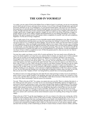#### *Chapter Nine*

## **THE GOD IN YOURSELF**

As a spirit, you are a part of God or the Infinite Force or Spirit of good. As such part, you are an ever-growing power which can never lessen, and must always increase, even as it has in the past through many ages always increased, and built you up, as to intelligence, to your present mental stature. The power of your mind has been growing to its present quality and clearness through many more physical lives than the one you are now living. Through each past life you have unconsciously added to its power. Every struggle of the mind–be it struggle against pain, struggle against appetite, struggle for more skill in the doing of anything, struggle for greater advance in any art or calling, struggle and dissatisfaction at your failings and defects–is an actual pushing of the spirit to greater power, and a greater relative completion of yourself,–and with such completion, happiness. For the aim of living is happiness.

There is today more of you, and more of every desirable mental quality belonging to you, than ever before. The very dissatisfaction and discontent you may feel concerning your failings is a proof of this. If your mind was not as clear as it is, it could not see those failings. You are not now where you may have been in a mood of self-complacency, when you thought yourself about right in every respect. Only you may, now, in looking at yourself, have swung too far in the opposite direction; and, because your eyes have been suddenly opened to certain faults, you may think these faults to be constantly increasing. They are not. The God in yourself–the ever-growing power in yourself–has made you see an incompleteness in your character; yet that incompleteness was never so near a relative completion as now. Of this the greatest proof is, that you can now see what in yourself you never saw or felt before.

You may have under your house a cavity full of vermin and bad air. You were much worse off before the cavity was found, repulsive as it may be to you; and now that it is found, you may be sure it will be cleansed. There may be cavities in our mental architecture abounding in evil element, and there is no need to be discouraged as the God in our self shows them to us. There is no need of saying, "I'm such an imperfect creature I'm sure I can never cure all my faults." Yes, you can. You are curing them now. Every protest of your mind against your fault is a push of the spirit forward. Only you must not expect to cure them all in an hour, a day, a week, or a year. There will never be a time in your future existence, but that you can see where you can improve yourself. If you see possibility of improvement, you must of course see the defect to be improved. Or, in other words, you see for yourself a still greater completion, a still greater elaboration, a finer and finer shading of your character, a more and more complicated distribution of the Force always coming to you. So you will cease this fretting over your being such an imperfect creature when you find, as you will, that you are one of the "temples of God" ever being built by yourself into ever-increasing splendour.

No talent of yours ever stops growing any more than the tree stops growing in winter. If you are learning to paint or draw or act or speak in public or do anything, and cease your practice entirely for a month or a year or two years, and then take it up again, you will find after a little that an increase of that talent has come; that you have new ideas concerning it, and new power for execution.

You ask, "What is the aim of life?" In a sense, you cannot aim your own life. There is a destiny that aims it,-a law which governs and carries it. To what? To an ever-increasing and illimitable capacity for happiness as your power increases, and increase it must. You cannot stop growing, despite all appearances to the contrary. The pain you have suffered has been through that same growth of the spirit pressing you harder and harder against what caused you misery, so that at last you should take that pain as a proof that you were on some wrong path, out of which you must get as soon as possible; and when you cry out hard, and are in living earnest to know the right way, something will always come to tell you the right way; for it is a law of nature that every earnest call is answered, and an earnest demand or prayer for anything always brings the needed supply.

What is the aim of life? To get the most happiness out of it; to so learn to live that every coming day will be looked for in the assurance that it will be as full, and even fuller, of pleasure than the day we now live in; to banish even the recollection that time can hang heavily on our hands; to be thankful that we live; to rise superior to sickness or pain; to command the body, through the power of the spirit, so that it can feel no pain; to control and command the thought so that It shall ever increase in power to work and act separate, apart, and afar from our body, so that it shall bring us all that we need of house or land or food or clothes, and that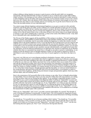without robbing or doing injustice to anyone; to gain in power so that the spirit shall ever recuperate, reinvigorate, and rejuvenate the body so long as we desire to use it, so that no part or organ shall weaken, wither, or decay; to be learning ever new sources of amusement for ourselves and others; to make ourselves so full of happiness and use for others, that our presence may ever be welcome to them; to be no one's enemy and every one's friend,–that is the destiny of life in those domains of existence where people as real as we, and much more alive than we, have learned, and are ever learning, how to get the most of heaven out of life. That is the inevitable destiny of every individual spirit.

You cannot escape ultimate happiness and permanent happiness as you grow on and on in this and other existences; and all the pains you suffer, or have suffered, are as prods and pokes to keep you out of wrong paths,–to make you follow the law. And the more sensitive you grow, the more clearly will you see the law which leads away from all pain, and ever toward more happiness, and to a state of mind where it is such an ecstasy to live, that all sense of time is lost,–as the sense of time is lost with us when we are deeply interested or amused, or gaze upon a thrilling play or spectacle,–so that in the words of the biblical record, "a day shall be as a thousand years, and a thousand years as a day."

The Nirvana of the Hindus suggests all the possibilities of life coming to our planet,–"Nirvana" implying that calmness, serenity, and confidence of mind which comes of the absolute certainty that every effort we make, every enterprise we undertake, must be successful; and that the happiness we realize this month is but the stepping-stone to the greater happiness of next. If you felt that the trip of foreign travel you now long for and wish for was as certain to come as now you are certain that the sun rose this morning; if you knew that you would achieve your own peculiar and individual proficiency and triumph in painting or oratory, or as an actor or sculptor, or in any art, as surely as now you know you can walk downstairs, you would not of course feel any uneasiness. In all our relatively perfected lives we shall know this, because we shall know for an absolute certainty that when we concentrate our mental force or thought on any plan or pursuit or undertaking, we are setting at work the attractive force of thought-substance to draw to us the means or agencies or forces or individuals to carry out that plan, as certainly as the force of muscle applied to a line draws the ship to its pier.

You worry very little now as to your telegram reaching its destination, because, while you know next to nothing as to what electricity is, you do know that when it is applied in a certain way it will carry your message; and you will have the same confidence that when your thought is regulated and directed by a certain method, it will do for you what you wish. Before men knew how to use electricity there was as much of it as today, and with the same power as today; but so far as our convenience was concerned, it was quite useless as a message-bearer. We lacked knowledge to direct it. The tremendous power of human thought is with us all today very much in a similar condition. It is wasted, because we do not know how to concentrate and direct it. It is worse than wasted, because, through ignorance and life-long habit, we work our mental batteries in the wrong direction, and send from us bolt after bolt of ill-will toward others, or enviousness or snarls or sneers or some form of ugliness,–all this being real element wrongly and ignorantly applied, which may strike and hurt others, and will certainly hurt us.

Here is the cornerstone of all successful effort in this existence or any other. Never in thought acknowledge an impossibility. Never in mind reject what to you may seem the wildest idea with scorn; because, in so doing, you may not know what you are closing the door against. To say anything is impossible because it seems impossible to you, is just so much training in the dangerous habit of calling out "Impossible!" to every new idea. Your mind is then a prison full of doors, barred to all outside, and you the only inmate. "All things" are possible with God. God works in and through you. To say "Impossible!" as to what you may do or become is a sin. It is denying God's power to work through you. It is denying the power of the Infinite Spirit to do through you far more than what you are now capable of conceiving in mind. To say "Impossible!" is to set up your relatively weak limit of comprehension as the standard of the universe. It is as audacious as to attempt the measurement of endless space with a yard-stick.

When you say "Impossible!" and "I can't" you make a present impossibility for yourself. This thought of yours is the greatest hindrance to the possible. It cannot stop it. You will be pushed on, hang back as much as you may. There can be no successful resistance to the eternal and constant betterment of all things (including yourself).

You should say, "It is possible for me to become anything which I admire." You should say, "It is possible for me to become a writer, an orator, an actor, an artist." You have then thrown open the door to your own temple of art within you. So long as you said "Impossible!" you kept it closed. Your "I can't" was the iron bolt locking that door against you. Your "I can" is the power shoving back that bolt.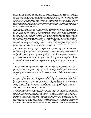Christ's spirit or thought had power to command the elements, and quiet the storm. Your spirit as a part of the great whole has in the germ, and waiting for fruition, the same power. Christ, through power of concentrating the unseen element of his thought, could turn that unseen element into the seen, and materialize food,–loaves and fishes. That is a power inherent in every spirit, and every spirit is growing to such power. You see today a healthy baby-boy. It cannot lift a pound; but you know there lies in that feeble child the powers and possibilities which, twenty years hence, may enable it to lift with ease two hundred pounds. So the greater power, the coming spiritual power, can be foretold for us, who are now relatively babes spiritually. The reason for life's being so unhappy here in this region of being is, that as we do not know the law, we go against it, and get thereby its pains instead of its pleasures.

The law cannot be entirely learned by us out of past record or the past experience of anyone, no matter to what power they might have attained. Such records or lives may be very useful to us as suggesters. But while there are general principles that apply to all, there are also individual laws that apply to every separate and individualized person. You cannot follow directly in my track in making yourself happier and better, nor can I in yours; because every one of us is made up of a different combination of element, as element has entered into and formed our spirits (our real selves) through the growth and evolution ages. You must study and find out for yourself what your nature requires to bring it permanent happiness. You are a book for yourself. You must open this book page after page, and chapter after chapter, as they come to you with the experience of each day, each month, each year, and read them. No one else can read them for you as you can for yourself. No one else can think exactly as you think, or feel just as you feel, or be affected just as you are affected by otter forces or persons about you; and for this reason no other person can judge what you really need to make your life more complete, more perfect, more happy so well as yourself.

You must find out for yourself what association is best for you, what food is best for you, and what method in any business, any art, any profession brings you the best results. You can be helped very much by conferring with others who are similarly interested. You can be very much helped by those who may have more knowledge than you of general laws. You can be greatly helped to get force or courage or new ideas to carry out your undertakings, by meeting at regular intervals with earnest, sincere, and honest people who have also some definite purpose to accomplish, and talking yourself out to them, and they to you. But when you accept any man or any woman as an infallible guide or authority, and do exactly as they say, you are off the main track; because then you are making the experiments of another person, formed of a certain combination of elements or chemicals, and the result of that person's experiments, the rule for your own individual combination of element, when your combination may be very different, and differently acted on by the elements outside of it.

You have iron and copper and magnesia and phosphorus, and more of other minerals and chemicals, and combination and re-combination of mineral and chemical, in your physical body than earthly science has yet thought of. You have in your spirit or thought the unseen or spiritual correspondences of these minerals still finer and more subtle; and all these are differently combined, and in different proportions, from any other physical or spiritual body. How, then, can anyone find out the peculiar action of this your individual combination, save yourself?

There are certain general laws; but every individual must apply the general law to him or herself. It is a general law that the wind will propel a ship. But every vessel does not use the air in exactly the same fashion. It is a general law that thought is force, and can effect, and is constantly effecting, results to others far from our bodies; and the quality of our thought and its power to affect results depends very much on our associations. But for that reason, if yours is the superior thought or power, and I see that through its use you are moving ahead in the world, I should not choose your character of associates or your manner of life. I can try your methods as experiments; but I must remember they are only experiments. I must avoid that so common error,–the error of slavish copy and idolatry of another.

The Christ of Nazareth once bade certain of his followers not to worship him. "Call me not good," said he. "There is none good save God alone." Christ said, "I am the way and the life," meaning, as the text interprets itself to me, that as to certain general laws of which he was aware, and by which he also as a spirit was governed, he knew and could give certain information. But he never did assert that his individual life, with all the human infirmity or defect that he had "taken upon him," was to be strictly copied. He did pray to the Infinite Spirit of Good for more strength, and deliverance from the SIN OF FEAR when his spirit quailed at the prospect of his crucifixion; and in so doing, he conceded that he, as a spirit (powerful as he was), needed help as much as any other spirit; and knowing this, he refused to pose himself before his followers as God, or the Infinite, but told them that when they desired to bow before that almighty and never-to-be-comprehended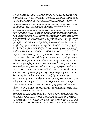power, out of which comes every good at the prayer or demand of human mind, to worship God alone,–God, the eternal and unfathomable moving power of boundless universe; the power that no man has ever seen or ever will see, save as he sees its varying expressions in sun, star, cloud, wind, bird, beast, flower, animal, or in man as the future angel or archangel, and ascending still to grades of mind and grades of power higher and higher still; but ever and ever looking to the source whence comes their power, and never, never worshipping any one form of such expression, and by so doing making the "creature greater than the Creator."

That power is today working on and in and through every man, woman, and child on this planet. Or, to use the biblical expression, it is, "God working in us and through us." We are all parts of the Infinite Power,–a power ever carrying us up to higher, finer, happier grades of being.

Every man or woman, no matter what may be their manner of life or grade of intellect, is a stronger and better man or woman than ever they were before, despite all seeming contradiction. The desire in human nature, and all forms of nature or of spirit expressed through matter, to be more and more refined is, up to a certain growth of mind, an unconscious desire. The god desire is at work on the lowest drunkard rolling in the gutter. That man's spirit wants to get out of the gutter. Ii is at work on the greatest liar, prompting him, if ever so feebly, that the truth is better. It is at work on people you may call despicable and vile. When Christ was asked how often a man should be forgiven any offence, he replied in a manner indicating that there should be no limit to the sum of one man or woman's forgiveness for the defects or immaturity in another. There should be no limit to the kind and helpful thought we think or put out toward another person who falls often, who is struggling with some unnatural appetite. It is a great evil, often done unconsciously, to say or think of an intemperate man, '' Oh, he's gone to the dogs. It's no use doing anything more for him!" because, when we do this, we put hopeless, discouraging thought out in the air. It meets that person. He or she will feel it; and it is to them an element retarding their progress out of the slough they are in, just as some person's similar thought has retarded us in our effort to get out of some slough we were in or are in now,–slough of indecision; slough of despondency; slough of ill-temper; slough of envious, hating thought.

Yet the spirit of man becomes the stronger for all it struggles against. It becomes the stronger for struggling against your censorious, uncharitable thought, until at last it carries a man or woman to a point where they may in thought say to others, "I would rather have your approbation than your censure. But I am not dependent on your approbation or censure, for my most rigid judge and surest punishment for all the evil I do comes of my own mind,–the god or goddess in myself from whose judgment, from whose displeasure, there is no escaping." Yet as the spirit grows clearer and clearer in sight, so does that judge in ourselves become more and more merciful for its own errors; for it knows that, in a sense, as we refine from cruder to finer expression, there must be just so much evil to be contended against, fought against, and finally and inevitably overcome. Every man and woman is predestined to a certain amount of defect, until the spirit overcomes such defect; and overcome it must, for it is the nature of spirit to struggle against defect. It is the one thing impossible for man to take this quality out of his own spirit–the quality of ever rising toward more power and happiness.

If you make this an excuse to sin, or commit excess, or lie or steal or murder, and say, "I can't help it; I'm predestined to it," you will be punished all the same, not possibly by man's law, but by natural or divine law which has its own punishments for every possible sin,–for murder or lust or lying or stealing or evil thinking or gluttony; and these punishments are being constantly inflicted, and today thousands on thousands are suffering for the sins they commit in ignorance of the law of life; and the pain of such punishment has grown so great, and bears so heavily on so many, that there is now a greater desire than ever to know more of these laws; and for that very reason is this desire being met, and these questions are being answered; for it is an inevitable law of nature that what the human mind demands, that it, in time, gets; and the greater the number of minds so demanding, the sooner is the demand met, and the questions answered. Steam but a few years ago relatively met the demand of human mind for greater speed in travel. Electricity met a demand for greater speed in sending intelligence from man to man. These are but as straws pointing to the discovery and use of greater powers, not only in elements outside of man, but in the unseen elements which make man and woman; in the elements unseen which make you and me.

Henceforth our race will commence to be lifted out of evil or cruder forms of expression, not by fear ot the punishments coming through violation of the law, but they will be led to the wiser course through love of the delight which comes of following the law as we discover it for ourselves. You eat moderately, because experience has taught that the greater pleasure comes of moderation. You are gentle, kind, and considerate to your friend, not that you have constantly before your mind the fear of losing that friend if you are not kind and considerate, but because it pleases you, and you love the doing of kind acts. Human law, and even divine law as interpreted by human understanding, have ever been saying in the past, "You must not do this or that,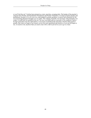or you'll feel the rod." God has been pictured as a stern, merciless, avenging deity. The burden of the preacher's song has been Penalty and Punishment! Punishment and Penalty! Humanity is to forget all about penalty and punishment, because it is to be won over, and tempted to greater goodness, to purity and refinement by the ever-increasing pleasures brought us as we refine. The warning of penalty was necessary when humanity was cruder. It could only be reached by the rod. The race was blind, and as a necessity of its condition it had to be kept somewhere near the right path by a succession of painful prods and pokes with the sharp goad of penalty. But when we begin to see clearer, as now the more quickened and sensitive of our race do begin to see, we need no rod, anymore than you need a man with a club to prevail on you to go to a feast.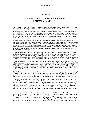#### *Chapter Ten*

## **THE HEALING AND RENEWING FORCE OF SPRING**

YOUR body is acted on in its growth and changes by the same laws and elements which govern the growth and enter into all other organized bodies, such as trees, plants, birds, and animals.

In the early spring of every year, there comes and acts on this planet a force from the sun which affects all organized forms of life,–trees, birds, animals, and, above all, man. Man's being the highest, most complicated, and most powerful mental organism on the planet, absorbs the most of this power, and will absorb far more in the future, and to far greater advantage than at present, as he learns to place himself in the best states to receive it.

Material science calls this force "heat''; but the quality known as heat is only its outward or physical manifestation. The quality known as heat which comes from the sun is not converted into heat until it reaches our planet and acts on the earth elements. There is little or no heat a few miles above the earth's surface. Were this force in the form of heat on leaving the sun, or during its passage, the air on the mountain tops would be as warm as that of the valleys. As we know, on the highest peaks snow and ice are perpetual, for the sunforce at such elevation is not sufficiently mingled with earth elements to convert it into that degree of heat felt in the valleys and plains.

This force causes the the increased movement and circulation of sap in the trees, which commences as soon as the sun of the new year acts on them. The sap is a new life to the tree, from which later comes its buds, blossoms, and fruitage. The inflowing of this unseen sun-force gives the tree power to draw new supplies of nourishing elements through its roots from the earth. It gives it power also to cast off any dead leaves remaining of the last year's crop which have hung on during the winter, as you may see in forests of oak or hickory.

This force acts also in the later winter and earlier spring months on animals and birds, especially if in their wild or natural state, causing them to shed their last year's coats of fur or feathers. But this casting off of old visible matter is but a relatively small part of the change going on within them. There is also a casting out or shedding of old invisible matter throughout the bird or animal's entire body. It goes off through the pores or other passages in various forms, some visible, others invisible, and is succeeded by new elements within, as the new fur, hair or feather is grown without.

Your body is governed by the same law. During the later winter and earlier spring months, you are "moulting." You are casting off old, dead matter, and taking in new, providing you give this force opportunity to act on you to the best advantage, by ceasing to be active either with mind or body when they call for rest, as do birds and animals during their moulting period, or process of casting off the old elements and receiving the new.

This element or force received at this time by you and them is invisible to the physical eye, as all force is invisible. The new fur, the new plumage of the bird, the new skin and tissues without and within your body, if received, the new buds, leaves, and twigs, are all materialized expressions of this force. They are new crystalizations coming of a new solution of invisible chemicals, in which bird, animal, tree, and your body are bathed. All of last year's solution or elements so absorbed have been used up. The tree or other visible organization of bird, animal, or your body, stands in the same relation to this re-clothing solution as does the slip of metal in the solution of mineral which attracts out of such solution the crystallizations which form on it.

There is no great dividing line betwixt what we call matter and spirit. Matter is but a form of spirit or thought seen of the physical eye. Matter is force temporarily materialized, as in the lump of coal which, when set on fire, sends off the force bound up in it to move the engine. The lump passes then mostly into element invisible. So all about us we find force ever passing from physical visibility into invisibility, and vice versa. Millions on millions of tons of invisible matter may be on a clear day suspended over our heads one hour, the next to fall in the visible form of rain or snow, which a few hours after may be drawn upward again, but invisible.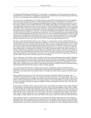The Indian called February and March the "weak months," recognizing, as he did, being a closer observer of nature than we, the tendency to sluggishness and inactivity in animal and man, which always prevails when this power is recuperating, and renewing any organized body.

The most perfect crystallizations out of mineral element come of the solution kept most free from agitation. Your body is governed by the same law in this spring renewing and re-crystallization of its elements. To receive the fullest benefit of the heating and renewing element of spring, you should rest whenever you feel like resting, whether it be the middle of the day or the middle of the night. If you keep the body or mind at work against their inclination–if you force your muscles to exertion through mere strength of will–if you work with either mind or body to the verge of utter exhaustion, not knowing how depleted you are of strength until your work is over, as thousands on thousands do and are compelled to do, through our unnatural system of life and the arbitrary demands of "business," you prevent this healing and recuperative power from acting to life and the arbitrary demands of "business," you prevent this healing and recuperative power from acting to its fullest extent on the body. You prevent the new element, which is renewing the tree and causing the buds to swell, from assimilating with your body. You hold on to worn-out element which should be cast off as the oak has cast all its dead leaves before the winter is over; you carry, then, this dead element, a "dead weight," about with you, instead of the new and upward rising life. It is this, among other causes, which stoops the shoulders, bleaches the hair, and furrows the face with wrinkles, through shrinkage of tissues.

The decay of the physical body which we call "old age," is owing entirely to man's neither believing nor knowing that he can place himself in the proper conditions to receive a never-ceasing supply of force, which would reclothe the spirit constantly with new material. Mere muscular strength and constant activity of body are not always signs of the most perfect health. In the delirium of fever a relatively weak man may require two or three others to hold him. When this delirium has passed away, he is weak as an infant, yet often, the crisis being passed, is pronounced out of danger. In a manner somewhat similar in the walks of business, in the keen, almost fierce competition of trade, thousands of people lead a feverish, excited life. They are always on a tension. They demand to be in this state. They cannot work unless "strung up" to a certain pitch. If, at times, through nature's own demand for rest, their nerves are relaxed and they feel languid, they mistake this friendly signal for some form of disease, and treat it accordingly.

Even in these cases, when laid for weeks or months on sick-beds, and nursed through what is called a "dangerous illness," and believing it to be one, they sometimes come out at last better and stronger than they had been for a long period previous. Why? Because through this enforced cessation from physical or mental activity, nature was working as well as she could under certain unfavourable circumstances, rebuilding a worn-out body, and as a result the man arose with new, fresh element in his bones, muscles, and nerves, put there because nature had then his body laid up in quiet, so that it could be repaired.

If you will but entertain this idea of spring's renewing force respectfully, though you cannot believe it thoroughly at first, you will receive much help by such respectful entertainment; for if you do not kick a live truth out of your mind when it first presents itself, it will take root and live there, and prove itself by doing you good.

Men, through incessant physical toil, wear out far sooner than is generally realized. The hardy sailor's "hardiness" often lasts but a few years. He is often an old man at forty-five. The toiling farmer, who works the year round from early dawn till dark, and thinks work to be the greatest virtue in the world, is often a mass of bony knobs and rheumatism at fifty. The average duration of lives of hard labour is much less than those given to occupations requiring less physical lugging, straining, and fagging, hour after hour, when the body is really exhausted.

In the mines of California, where I swung a pick for years, and worked with gangs of men, lifting, wheeling, and shovelling, I noted that the last three hours of a day's work of ten and sometimes twelve hours' length, was done by the men, strong as they might be, with far less spirit than the earlier day's labour,–in fact it was often a mere pretence of work, unless the watchful eye of the "boss" was constantly on his men. Why? Because physically they were no longer fit to work. It was only will that was urging muscle to exertion. And of the stout, "hardy" miners, aged twenty- five or thereabout, who were so working in 1860, and who persisted in such drudgery, a large majority are dead, and of those who are alive today, four-fifths are broken-down men.

In the kingdom of nature, we find periods of rest constantly alternating with periods of activity. Trees rest during the winter. The circulation of sap is sluggish. There is no creation of leaf, blossom or fruit. Wild birds and animals after the summer breeding season, do little save eat and sleep. Some animals and reptiles sleep during the entire winter. Even soil must rest to bring the best crop. Where it is forced, through constant artificial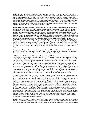fertilization, the product is inferior in flavour and nourishing quality to that raised on "virgin soil." Disease, blight, and destructive insects some unknown to vegetation in its natural state. When man recognizes the fact that he cannot use his body year after year, from the budding strength of youth to the age of forty or fifty under such a full, unceasing pressure of nerve or will power without great injury, and when he does recognize the fact that through placing himself oftener in restful and receptive states, as do tree, bird, and animal in their natural state, he will then, through receiving far more of this element, enjoy a far greater health of body, elasticity of muscle, vigour and brilliancy of mind. He would also have other senses and powers awakened within him, whose existence is still doubted by most people.

Some Oriental and Indian races have, to an extent, the uses of these senses and powers, partly by reason of their more restful lives and their living like tree and animal, more in conformity to the influence on them of the seasons. They have not our domineering, aggressive force, which invades and conquers for a time, as England has conquered India, and our own people have subdued and almost exterminated the Indian. But mark: this force does not conquer in the end. The thought-power which works most while the body is relatively inactive, is really the strongest and ultimately prevails. It is subtle, noiseless, unseen. Working with the highest motive, it refines and polishes the rude, warlike, conquering races, by grafting on them the civilization of the conquered. In such manner was the art and civilization of conquered Egypt transferred to the Assyrian. Centuries afterward the conquered Assyrian transferred this power to conquering Greece. Greece fell before Rome, yet Grecian civilization held sway in Rome. Rome fell physically before the Goths and Vandals, the then savage races of Northern Europe; but in the kingdom of mind it is the influence of ancient Italy which has been the great factor in refining the Goth, Hun, and Vandal of ages ago into the modem German, Frenchman, Spaniard and Italian. Every convulsion, agitation, and conquest has made this power take root on a wider field.

Today the best English mind is seriously studying the laws which at last it has recognized in India, and that force is in a sense to subdue England, for she is already sitting at the feet of India, receiving her first lessons in the alphabet of laws and force, hitherto quite unrecognized by her learned men.

"What power is this?" you ask–"How gained? How developed?" It is the power coming of minds united on one purpose, in perfect concord, and who do not use it all in physical activity. For if you put all your thought or force in the working of the members of your body, in working with your hands at any calling day in and day out, year in and year out, with no regard to the impulses and instincts of times or seasons, you keep all that force working merely the Instrument–the body–and wearing it out. You prevent it from operating at a distance from the body. You prevent also the inflowing and assimilation of this recuperative power of spring. You breed the habit of keeping the body always in motion. You prevent yourself from getting that order of sleep which would bring your body the most strength for the waking hours. For if the body or mind is fagged out day after day, the same order of thought prevails and is fagging it out by night. You breed the belief and error that you are accomplishing nothing unless at work with body or brain. You cannot get into that state of repose when your thought-power could work at a distance and apart from your body, and bring you in time a hundred-fold more of beneficial result than can ever be realized through mere physical exertion.

The quality in the plant's leaf, root, or berry, which, when taken as medicine, acts on the internal organs, is the force in that plant, liberated through the digestive process. The strength you get from bread or meat is force liberated from the food in the same manner. Digestion is a slow burning up of the material taken in the body, as coal is burned in the boiler, and the force freed by such burning you use to work the body as the engineer uses heat to run the engine. The newer the bud, the more tender is its outward material formation, yet that bud, when used medicinally, contains the most active force, principle, and quality of the plant. The choicest and strongest tea is made of the topmost and tenderest buds of the plant. In California, the bud of the poison oak affects some people though they only stand near it, so great is an injurious force it sends out in the air. The tender buds of spring contain that force which, later on, will make the more solid leaf or branch. In your own organization in the spring are the same tender, budding elements. So, if your body is weak in the spring, it is a sign that the new buds, so to speak, within you are forming. They are full of force. But that force has not had time to act on your material organization and form the new bone, muscle, and sinew which will come at a later period. providing such budding or new crystallization be not agitated, disturbed, and possibly destroyed by undue exertion of mind or body, where the same relative damage is done your body as would be done the budding tree by a hurricane.

Possibly you say, "But how can I carry on my business and earn my bread if I so lay my body up for nature's repairs?" We answer, "'The laws of man's business are not the laws of nature. If nature says 'Rest' and man says 'Work,' and will work or must work, man always gets the worst of it." What society calls vicious practices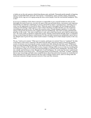or habits are nor the only agencies which bring disease, pain, and death. Thousands perish annually in lingering agony on respectable beds, and in the "best society." Consumption, cancer, insanity, dropsy, rheumatism, scrofula, fevers, rage are ever raging among the most correct people, from the conventional standpoint. Why is this?

If you are in conditions of life where at present it is impossible to give yourself needed rest and you feel thoroughly the need of such rest, you may rely upon it that your persistent desire, your prayer, your imperious demand that you shall have opportunity to receive and profit by nature's restoring forces, will bring you in some way the opportunity to so profit by them. When any need is thoroughly felt, the thought and desire coming of such feeling is itself a prayer–a force which will bring you helps and take you out of injurious surroundings and modes of life. We repeat this assertion often. It needs frequent repetition. It is the mainspring of all growth and advance into a happier and more healthful life. The Christ of Judea embodied this great law in the words, "Ask, and ye shall receive: seek, and ye shall find, knock, and it shall be opened unto you." He wisely made no attempt to explain this mystery whereby earnest human thought, desire, or aspiration always in time brings the thing or result desired. For this and other mysteries are inexplicable, and so fast as any alleged cause is given for any certain result in nature's workings, do we find a deeper mystery in the very cause.

We say, "wind is air in motion." What sets it in motion, and keeps it in motion? Once we "explained" the tides on the theory of the moon's attraction. But apart from the tides, what power keeps in motion the gigantic system of currents ever traversing the oceans, revealed more fully during the last forty years? What power keeps our lungs breathing day and night, or the blood running to every part of the body? Are not all of these of the power of God, or the infinite spirit or force of good, working within you as it works in everything that lives and grows? Only to us is at last given the knowledge to work this power intelligently. The body of the tree, animal, and bird decays at last, through lack of such intelligence. So, in the past, has man's material part decayed. But this is not always to be. ''The last great enemy to be destroyed," says Paul, "is death"; implying that as man's knowledge and faith in the wonderful forces about him and in him increased, he would discover better and better how to place himself in the line of the working of these forces, and in so doing make the mortal part immortal, through incessant renewal of finer and finer elements.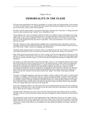#### *Chapter Eleven*

## **IMMORTALITY IN THE FLESH**

WE believe that immortality in the flesh is a possibility, or, in other words, that a physical body can be retained so long as the spirit desires its use, and that this body instead of decreasing in strength and vigour as the years go on will increase, and its youth will be perpetual.

We believe that the reputed fables in the ancient mythologies referring to the "immortals" or beings possessed of powers other and greater than "mortals" have a foundation in fact.

This possibility must come in accordance with the law that every demand or prayer of humanity must bring supply. There is now a more earnest demand than ever for longer and more perfect physical life, because now more minds see the greater possibilities of life. They appreciate more than ever the value of living in the physical. Such demand often takes this form of expression, "I have just learned how to live and it is nearly time for me to die."

The body will grow to these results through a gradual series of spiritual processes, operating on and everchanging, spiritualizing and refining the material. These processes do not retain the body a person may have now. They retain "a body," and an ever changing and refining body.

All disease (lack of physical ease) or sickness comes of a spiritual process, the aim of which is reconstruction of the physical body, first in the receiving of new elements, and second in the casting out of old ones.

Back of this physical reconstruction, however, there is going on the far more important reconstruction of the spirit out of which is built the body. These processes are continually going on with the body, operating through the skin, the stomach, and other organs, as well as in the periods of physical prostration or indisposition above referred to.

All sickness is an effort of the spirit renewed by fresh influx of force to cast off old and relatively dead matter. But as this intent has not been recognized by the race, the spiritual process or effort with its accompanying pain and discomfort has been held and feared as a signal or approach of death. So with no knowledge of spiritual law, and judging everything by the material, the temporary and necessary weakness of body accompanying the process has been considered an unmitigated ill. Such belief has in the past only aided the spirit to pile on itself more and more of belief in the untruth that after a certain term of years no power or force in the universe could prevent the physical body from "aging," shrivelling, weakening, and finally perishing.

The body is continually changing its elements in accordance with the condition of the mind. In certain mental conditions, it is adding to itself elements of decay, weakness and physical death; in another mental condition, it is adding to itself elements of strength, life and perpetual life. That which the spirit takes on in either case are thoughts or beliefs. Thoughts and beliefs materialize themselves in flesh and blood. Belief in inevitable decay and death brings from the spirit to the body the elements of decay and death. Belief in the possibility of an ever-coming inflowing to the spirit of life brings life.

If new life is being thus added to you, there must also be an accompanying throwing off of the old or relatively dead matter of the body, just as when an influx of new life comes to the tree in the spring it casts off the dead leaves which may have clung to it all winter.

Through similar inflowing of new life or force does the animal and bird yearly shed the old fur or feathers and take on the new, and correspondent changes take place throughout the whole organization of bird, animal and man.

This spiritual law works in all forms and organizations of the cruder form of spirit we call "matter." In the human being this influx of force is greater than in the lower forms of life. It does not flow equally to all human beings. Some receive more than others. But in the course of advancement men and women are to come who will receive so much of this influx as to be obliged to see these further possibilities of existence, and also to realize them.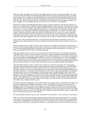When new ideas or thoughts are received by our higher mind or self, they are warred against by our lower or material mind. The body is the battle ground between these two forces, and therefore suffers. As minds come to trust even to a small extent in the Supreme Power and entertain the idea that physical disease and physical death are not absolute necessities, the higher Power must prevail. Some old error will be cast out; some new idea will come to stay; the body will be better and stronger after each succeeding struggle, and these struggles will also gradually become less and less severe, until they cease altogether.

People have in the past lost their physical bodies, because, being in ignorance of the fact that sickness is a process for the spirit to throw off the old material thought and take on new, they have used their forces in the wrong way to retain such thought. They retain it by their belief. Your belief will make your sickness a benefit or an evil to you. If you can but entertain the belief that it is a spiritual process for getting rid of old wornout elements, you assist greatly the mind in the performance of this process. If, however, you believe that sickness is entirely a physical condition, and that no benefit and only evil comes of it, you are using force only to load down the spirit with more and more error of which your flesh and blood will be in quality an expression, until at last your spirit rejects the body it has been trying to carry, and drops its burden. It rejects at last the whole body through the same laws by which it rejects a part of it when that part is spiritually dead.

If you receive with scorn the thought that your physical body through fresher and fresher renewal of Its substance can be made perpetual, you close to yourself an entrance for life, and open another to decay and death.

We do not argue that you "ought" to believe this. You may be so mentally constituted that you cannot now believe it. There are many things to be in the future which none of us have now the power to believe. But we can if the thing deemed impossible be desirable, pray or demand a faith which shall give us a reason for believing, and such faith will come in response to demand.

Faith means power to believe in the true, or the capacity for the mind to receive true thoughts. The faith of Columbus in the existence of a new continent was a power in him to entertain such idea greater than others of his time. People who to use the common expression "have faith in themselves," have also an actual power for carrying our their undertakings greater than those who have no faith in themselves. When you demand faith in possibilities for yourself that now seem new and strange; you demand, also, the power and ability to draw to you the capacity to see or feel reasons for truths new to you. If you demand persistently the truth and only the truth you will get it, and the whole truth means power to accomplish seeming impossibilities.

"Thy faith hath made thee whole" said the Christ of Judea to a man who was healed. To us this passage interprets itself as meaning that the person healed had an innate power of believing that he could be healed. This power which was of his own spirit (and not of Christ's) so acted on his body as instantly to cure his infirmities. Christ was a means of awakening this power in that man's spirit. But Christ himself did not give the person that power. It war latent in the person healed. Christ woke it into life, and probably only temporary life and activity, for we do not hear that any of the recorded cases of sudden healing in those times were permanent. They fell sick again and finally lost their bodies. Why? Because the faith or power they drew to themselves for a brief time did not come to stay. They had not learned to increase it continually through silent demand of the Supreme Power. Their spirits went back into the domain of material belief. When that belief again materialized a load on the spirit hard to carry, and they were sick, not one was at hand like the Christ to awaken it into a temporary faith or power.

No person can become permanently whole (which implies among other powers, immortality in the flesh) and have entire and permanent freedom from disease, who is ever trusting, or leaning on any other save the Supreme to gain the power of faith. In this respect every mind must stand entirely alone. You cannot draw the highest power if you depend always for help from another or others. If you do you are only borrowing or absorbing their faith. Such borrowed faith may work wonders for a time, but it does not come to stay. When that of which you borrow is cut off, you will fall into the slough of despond and disease again. You had really never drawn from the right source–the Supreme.

Our most profitable demand or prayer made consciously or unconsciously is "Let my faith be ever increased."

When you reverse your mental attitude regarding sickness and do but entertain the belief that it is an effort of the spirit to throw off errors in thought which as absorbed and received from earliest infancy are materialized in your flesh, you gradually cease to load up with error. You commence also the process of unloading and casting out all former errors in thought. The sickness you had many years ago in fear of death has in a sense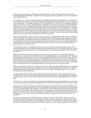packed away that particular remembrance of such mood of fear in your being, and with it the belief that accompanied such remembrance. That belief has been working against you all these years as all wrong belief must work against you.

It is literally a part of your real being, as all past individual remembrances and experiences are a literal part of our beings. It is retained in your spiritual memory, although its material remembrance may have faded out. That remembrance is in thought a reality. But it is the remembrance of a false belief, teaching that death and decay can never be overcome. This belief, the reversed action and state of your mind will cast out. But such casting out must have a correspondent expression in the flesh. The physical expressions of all your former coughs and colds, fevers and other illness must reappear, at first possibly severe, but gradually in a modified form. You are then unloading your old false beliefs. But if your belief is not reversed and you go on as before, regarding physical decay and death as inevitable, then with every illness in such mental condition you pack away another error, another untruth, and another addition to the load of untruths, whose certain effect, added to the rest, is to weaken, crush, and finally cause the body to perish.

There is no period in the "physical life" too late for receiving or entertaining the truth. There is no period too late for such truth to commence its process of physical renewal, and though that particular physical life may not be perpetuated, yet the spirit in receiving such truth receives a force which will be of priceless value to it on the unseen side, and by its aid it may be able the sooner to build for itself a more perfect spiritual body, and the ultimate of the relatively perfected spiritual body is the power to be and live in the physical and spiritual realms of existence at will.

If you hold to the idea that mankind are always to go on as in the past, losing their bodies, and are also to remain without the power to keep those bodies in perfect health, then you set your belief against the eternal fact that all things in this planet are ever moving forward to greater refinement, greater powers, and greater possibilities.

Medicine and material remedies may greatly assist the throwing-off process. A skilled and sympathetic physician of any school may be of much assistance. Everything depends on the mind and belief in which you take the medicine and the physician's advice. If you regard both as aids to your spirit in throwing off a load and building for you a new body, you give in such belief great help to the spirit, so to throw off and build. But if you regard both medicine and physician as aids only to the body, and a body also which you hold must at best weaken and perish some time during the next thirty, forty or fifty years, you will load up with belief in error faster than you cast it off, and the load becomes at last too heavy for the spirit to carry.

What causes the man or woman to be "bowed down by age?" What causes the stooping shoulders, the weakened knees, the tottering gait? Because they believe only in the earthly and perishable. The spirit is not earthly nor perishable. But you can load it down literally with an earthy quality of thought which will "bow it down toward the earth with such burden."

It is not the physical body of the old person that is bent and bowed down. It is that part which is the force moving the body, that is, his or her spirit loaded with material thought which it cannot appropriate or assimilate, which becomes so bent, bowed and weak. The body is always an external correspondence of your mind or spirit.

A body thus ever renewing, beautifying, freshening and strengthening means a mind behind it ever renewing with new ideas, plans, hope, purpose and aspiration. Life eternal is not the half dead life of extreme old age.

The person who can see only the physical side and temporary expression of life, who eats and drinks in the belief that only the body is affected by less eating and drinking, who believes that the body is sustained only by force, generated within itself, and that it is not fed of an unseen element coming from the spiritual realm of element, and who believes that nothing exists but what he can see, hear and feel with the physical sense (that is the material which is always the temporary and perishable), draws to himself mostly those forces and elements which cause the temporary and perishable, and these acting in his body make it temporary and perishable.

Death of the body begins with thousands many years before they are in their coffins. The pale face, and parchment-coloured skin, means a half dead skin. It means a portion of the body on which the spirit works the casting-out process of dead element, and taking on of the new very imperfectly. In the freshness of infancy and early youth, the spirit cast out and took on more vigorously. As years went on untruth was absorbed by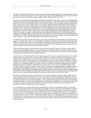that spirit. Its growth in knowledge was more and more retarded. Responding physical changes became slower and slower. The body commences to show "signs of age," that is to die. Because such spirit was less and less fed of that element which brings constant renewal of new thought which is new life.

So far does the belief and faith in weakness and decay prevail with the race that wisdom is often allegorically portrayed as an old man, gray, baldheaded, bowed and sustained by a staff. That means a wisdom which cannot prevent its own body from falling to pieces. In that form of being we call the child (a spirit or mind having come in possession of a new body), there is for a period a greater spiritual wisdom than when the child is physically more matured. It is the unconscious wisdom of intuition. It is for a time more open to the truth. For such reason, up to the age of eighteen or twenty, the spiritual casting off and taking on processes with the body are more perfectly performed. These relatively rapid changes in the physical maintain the bloom and freshness of youth. Sooner or later, however, the higher spiritual process ceases gradually to operate. Beliefs in the false, as taught or absorbed from others, materialize themselves in the body despite all the resistance of the higher mind as expressed in pain and sickness. The load of belief in the earthy and perishable accumulates. The body assumes an appearance in correspondence with such thought. At last the higher mind refuses longer to carry such a burden, flings it off, and leaves a dead body.

The death of the body is then the final process for casting off cruder element from the spirit which it can no longer use or appropriate. But it is very desirable for the spirit to be able to keep a physical body which shall refine as the spirit refines, because in such equality of refinement between the spirit and its instrument, our increase in happiness is greatly advanced, and the relatively perfected rounding out of our powers cannot be realized until this union between spirit and body is effected.

When the Christ of Judea said to the elders of Israel of the little child, "Except ye become as this child ye cannot enter the Kingdom of Heaven," he meant as the text interprets itself to us, that they should become as open to that inflowing of force as that spirit (the child) was at that period of its existence. Were such influx maintained, the youth of the body would be perpetual.

The child is more "led of the spirit" than the grown-up person. It is more natural. It discards policy. It shows openly whom it likes and whom it does not. It has often more intuition. It will dislike a bad man or a bad woman when its parents see no evil in that person. It knows or rather feels far more regarding life than its parents give it credit for. But it cannot voice its thoughts in words. Yet the thoughts are still there. It has not learned to train itself to the double-faced custom of the world which smiles in your face and sneers behind your back. It is relatively natural. Its spirit for a time gives itself free expression. When the spirit loses this freedom of expression when we pretend what we are not, when we say "Yes" outwardly and think "No" inwardly, when we court only to gain a favour, when we feel anger or disappointment or irritation within and pretend content and happiness without, we become more and more unnatural in all tastes and desires. We blunt and for a time destroy all the higher spiritual senses and powers. We become unable to distinguish truth from falsehood. We are unable to feel spiritually what faith means, much less to draw this great and indispensable power to us, and without this drawing power the physical body must be cast off by the spirit.

The body in dying does not "give up the ghost." It is the ghost (the spirit) that rejects the material body. Its spirit, through casting off unbelief, becomes more and more accessible to thoughts and things that are true, and, therefore, grows to more and more power, it will, acting in all parts and functions of the body, operate the casting-off process more and more quickly, as it does in the material youth. It will refuse or reject through the physical senses of touch or taste anything which would injure or adulterate it. It can attain to such power that an active poison if accidentally placed in the mouth would be instantly detected and rejected, or it swallowed would be instantly cast from the stomach.

It is not the physical stomach which rejects food unfit for it or casts out the nauseous dose. It is the spirit which moves the organ to such action through a knowledge of its own, that the cast-out substance is unfit for it. It is so unfit because there is no spirit nor quality in the rejected element which can assimilate with and help the spirit. As your spirit grows in power this sensitiveness to all things which can do it evil, be they of the seen or unseen world of things, will increase. It grows keener and keener to the approach or presence of everything evil, and casts it off. It will warn you instantly of the evil or designing person. It will tell you what is safe and fit for your association. It will at last cast out or refuse to receive all evil thoughts which now you may daily receive unconsciously, and which work more harm than anything material can do, for by them the spirit is poisoned.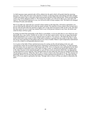As faith increases many material aids will be called in by the spirit which will greatly help the renewing processes. These aids will come in the selection of foods, in choosing proper associations and other changes of habit and custom. But it is the spirit which must prompt and direct these material aids. When such prompting comes you will be obliged to follow it. The food to be avoided, you will not be able to eat. Your taste will reject it. The association injurious to you, you will not be able to keep company with. The habit to be changed will drop off easily and naturally.

But if you make any rigid rules for yourself in these matters in the hope they will tend to spiritualize you, you are allowing the material self to take the matter in hand. The material or lower mind is then trying to give the law and rule and refine the spiritual or higher self. Let the spirit increased in faith, do the work, and when the time comes for you to reject any animal food or any of the grosser element in any form, the desire and relish for these will have gone.

In stating our belief that immortality in the flesh is a possibility, we do not infer that it is one which any now, physically alive, may realize. Neither do we infer it is one they cannot realize. Nor do we argue that people should immediately set to work in any material sense in order to "live forever." We hold only that it is one result which must come sooner or later of that spirit evolution or growth from the cruder to the finer, which has always been operating on this planet and on every form of matter. Matter is spirit temporarily materialized so as to be evident to correspondent physical sense.

As we grow in the faith of these spiritual processes for casting out the old and taking in the new, and consequently realize the accompanying greater refinement or spiritualization of the body, we shall aid more and more those who are nearest us in the unseen side of life. For as we become more spiritualized in the flesh they are helped to materialize more of the spirit. In other words, we shall become physically tangible each to the other, because in the material thought we cast off there exists an element which they can appropriate to make themselves more material. Their spiritual bodies are also under the same laws as regards the throwing off and taking-on process. What they throw off as coarser to them is the finer and fit for us, This element we spiritually absorb. It is for the time and condition a certain spiritual food and life for us. Through what they throw off we are aided to spiritualize the body. Through what we throw off they are aided to materialize the spirit.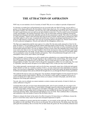#### *Chapter Twelve*

## **THE ATTRACTION OF ASPIRATION**

WHY may we not maintain a level of serenity of mind? Why are we so subject to periods of depression?

It is because, no matter how well-positioned you are in accord with your ideal of living, you are still to a greater or less degree affected by the discordance which reigns about you. Are you gentle and humane toward the animal creation? The wild birds, your free pets who come and build their nests in the grove, are murdered for sport or gain before your eyes and you are quite helpless to prevent it. You live amid a scene of incessant cruelty and slaughter. The animals fostered by man's care are bred under artificial conditions and thereby developed into unnatural and really unhealthy growths for his amusement or profit. This refers to all manner of "fancy breeding." Nature when left alone does best for bird or animal, and the birds or animals have their individual rights as well as man. A strained and morbid taste will grow an enlarged and diseased liver in a goose to make thereof a certain dish. Your race are so growing disease all about you. Disease means mental as well as physical unhappiness. Directly and indirectly this unhappiness affects you.

The finer your organization and the more open is it to a finer life, the more easily annoyed is it here by the many ills about it. You can hardly go abroad without suffering mental or physical pain. Your houses, cars and boats in winter are overheated and full of noxious vapours from the fuel used, as well as emanation from the human bodies packed in them. You may be obliged to sleep in rooms where this unhealthy heat is partly relied on to warm your when at rest. You must breathe it when in the unconscious state of recuperation, and awake with it incorporated into your being. You are liable to eat staleness and decay at the best of your public tables. You are pained by scenes of cruelty, brutality and injustice. That is the predominant thought active in the atmosphere of the crowd, and it affects your thought.

There is thought, or if you please so to call it, mental action embodied in every material thing about you, and the brightness or darkness of the thought depends on the condition of the material thing. The eating of stale fruit or vegetables may indirectly give you the blues. The live fresh fruit gives you life. Decay is the disorganization of matter. You want to feed on the perfect organization, neither over nor under ripe. You want it, if possible, when the article fed upon is at its fullest stage of life, so that you may receive that life.

You violate ignorantly, unconsciously, and even for the time, necessarily, many laws of physical and mental health. Relative to food, air, warmth, as spoken of above, you may always have been dependent on artificial props. You were born so dependent. You may have come into the world with a body, the partial development of artificial and improper food, and an artificial life brought down to you through the blood of many generations.

This artificial life must in some way bring pain. Your alcoholic stimulant brightens for the moment but leaves a much longer period of pain behind it. But the evil of alcohol is really small as compared with scores of causes for human ills in daily active operation about you in places crowded with people, and all the more dangerous from being quite unknown.

You ask, why even in solitude you cannot maintain a certain evenness and serenity of mind of which you realize sufficient to long for?

Assuming that in the past you have been diseased physically, and of course mentally, do you expect to be instantly cured of such a long illness? Certain habits of thought cannot be otherwise than gradually removed. So with certain habits of body consequent on such habits of thought, such as the habit of hurry, the habit of worry, the habit of laying undue stress on things not the most needful for the hour; the habit of trouble borrowing and many others, which permeate and influence every act of life. Their combined effect is exhaustion, and exhaustion is the real mother of most of the ills flesh is heir to.

Whatever exhausts the body, be the motive for effort of good or ill, benevolence or selfishness, lessens the power to resist these many causes for pain and consequent depression of spirits.

So long as earthiness or grosser spirit has the ascendancy, we see mostly on the earth side. We sense mostly the repulsive in the individual. We are slow to see the good. We can like but few. We dislike many. But when spirit gains the ascendancy, this is reversed. We see then clearly the good in all. We are thereby attracted more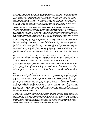or less to all. And as we find the good in all, we get good, from all. We cease then to be so strongly repelled by individual prejudices. We love more than we hate. While earthiness prevails we hate more than we love. We see more to loathe and detest than to admire. We are blinded to the good and too sensitive to the evil. Seeing and feeling then more of evil than good, we are injured by it. To hate, to be strongly prejudiced, to be unable to hear mention of the loathed person's name without a thrill of indignation or disgust, is to be continually inflicting wounds on self. To be able to admire, to have the clear sight to detect the good in the lowest nature and to keep the evil out of sight, is a source to us of strength, of health, of continual increase of power. Love is power. You are always the stronger when In a condition of admiration.

Attraction is the Law of Heaven, repulsion that of Earth. Spirituality is attracted to what it finds of itself anywhere. It sees the diamond in the rough, though embedded in the coarsest mould. It sees the germ of superior quality in the coarsest nature. It can fix its eye on that germ, and hide from itself the coarser elements. In so doing it throws its power on that germ, and warms it into life. The basest nature mounts to its highest level in the presence and under the influence of the higher. There is little need for the true missionary to preach in words. He or she exhales an atmosphere of divinity which is felt by all. Precepts need to be felt more than heard. The prejudiced against the sinner is only a spiritual porcupine. He stings all he touches.

So long as we feel that strong repulsion, through seeing only the defects in another, so long are we ruled by such sentiment. We are in fetters. We are in his or her presence so full of hatred as to be unable to assert the better part of ourselves. All our own evil is called out and comes to the front. There is only the clashing of opposing wills. In such case, we, though in reality the more powerful party, become the weaker for the time being. We are obliged to allow the pupil whom we should teach by example to domineer over us. Cynicism is born of repulsion and personal prejudice carried to its extreme. The cynic ends by finding everybody unbearable and at last hates himself. No cynic was ever in good health. Cynicism is blood poisoning. The cynic is ever hunting for the ideal without. He should find it within. This when once found would be ever creating ideals from all without. His own loving spirit would graft and build itself or all with whom he came in contact.

Divinity is also contagious. That would be a poor Divine Plan which allowed only evil to be infectious. Goodness is catching. In good time the world will learn that health is also. But hitherto mankind have so much feared and even admired the devil, as to have accredited evil only with inoculating quality, while all manner of good is supposed to be drilled into poor human nature by painful and laborious processes.

There cannot be the highest health and vigour without aspiration and purity of thought. Pure thought brings the purest blood. Impure thought, despondent, hopeless, repining, fault-finding, fretful slanderous thought is certain to make the blood impure and fill the system with disease. Without aspiration your best care for the body will be relatively of little help. You may as to garb and person be scrupulously clean; you may pay the utmost attention to diet; yet after all you are but cleaning the outside of a vessel which within is ever filling up with uncleanliness.

With an ever increasing purity of thought, cleanliness and care for the body will come as a natural result. The vessel will clean itself. Proper care for the body in all respects will be a loving effort for that body. Bathing will not be an enforced task but a recreation. Diet will be regulated by the natural demand of appetite. Taste or relish will be the standard for acceptance or rejection. Excess will be impossible, so watchful will be the healthy palate to regard the first faint sign of sufficiency as the signal to cease any kind of indulgence. It is this aspiration for the highest and best that in time causes an actual new birth of the body–a total "reformation" throughout in the quality and composition of flesh, bone, blood, muscle and sinews; a change in the material organization corresponding with that of the spiritual. The flesh by it is spiritualized, that is, made up of finer elements. In all aspiring minds is this process going on. The rule of spirit over flesh brings perfect immunity from disease, intensifies every power, gives far greater capacity for effort in any field, and at the close of the Earth life ensures a painless passing out of the spirit–a simple falling to sleep of the earthly body and a waking up on the other, the spiritual side of life.

The path of self-healing lies in the calling for the elements of health and strength, to drive out disease. That is you pray for such elements and they come to you. Strength or vigour is an element of spirit or more refined matter. The more often is your will exercised in praying for it, the quicker will it come. This is the secret for the perpetual maintenance and increase of vigour or any other desired quality. When sensible–by signs quickly detected–of lack of power, call, pray, desire more. Its rapport with the elements causes such power immediately to flow in upon it. You may become weary. Your will put thus in operation causes an immediate influx of strength, as soon as it places itself in certain conditions for such inflowing.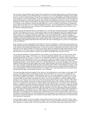Say you arise in the morning weak, languid, with no physical or mental energy. Keep your mind as much as you can from dwelling on your ailment. Keep it as much as you can on the thought of strength, vigour, health, activity. As aids to erect this frame of mind, fix it as much as you can on illustrations and symbols of Nature's force and power, on storm and tempest, on the heaving billow and majesty of the Ocean, on the Morning Sun rising in all his glory to refresh and invigorate man, animal and vegetation. If there be in prose or poetry any illustrations of this character which affect you strongly, recur to them. Read them, aloud or in silence. Because in so doing you are setting the mind in the right direction to receive strength. In brief think of strength and power and you will draw it to you. Think of health and you get it. Let your mind dwell on weakness, on never getting well, on the dark side, on everything of discouragement, gloom and darkness and you draw to you the contrary and hurtful elements.

As decay attracts and generates decay in the things we see, so does any weak decaying order of thought attract its like of the things we do not see. Unconsciously many sick and ailing people nurse their complaints more than they nurse the bodies carrying such complaints. They are always thinking of them and talking of them. They actually crave sympathy for the hurt more than for the body afflicted with it. And the sympathy so brought out from surrounding friends, actually nourishes the injury and increases the ailment, when the thought of patient and friends should be placed on a strong healthy body for the patient. The more of such thought concentrated on the patient from those about him or her, the more of drawing power you have to bring vigour to the one afflicted.

Bear in mind it is not here argued that such relief can always be immediate. A mind long unconsciously set in the opposite direction of dwelling on self weakness, cannot immediately reverse its movement and set itself in the contrary and strength-drawing direction. It may have become so habituated and trained to dwell on the dark side as to be almost unable to fix itself on any other. But as the attempt is made and persisted in, more and more power will come to put it in the desired strength attracting frame. The effort must be made. It may take time, but every atom of effort so made is an accretion of strength which can never be lost.

Do not demand arbitrarily or despotically that any member of your body get well of a hurt, that any organ or function become stronger. Your body is as a whole an individual separate from your spirit and with a peculiar physical life of its own, as a whole it is an organization made up of a number of other organizations, each charged with a specific duty, as the eye to see, the ear to hear, the tongue to taste, the stomach to digest, the lungs to breathe. All of these are in a sense individual organizations. Each is open to the enlivening, cheering effect upon it of the element called "love" and that element you can send it. Bandage a hurt, lovingly, tenderly and the element not only inspires the careful, tender treatment, but it goes into the hurt. It acts as a salve and a strength. It gradually binds and unites the ruptured parts. Bind it with indifference, bind or wash it as an irksome task and the sentiment inspires not only a careless and even rough treatment, but fails so to salve and strengthen it with the needed element–love. Bind it with actual hatred and you are self-poisoning the part affected. Hate is the element of poison, Love of healing.

The same principle and process applies to the weak eye, the deafened ear or any ailing or weak organ. Will at times your affection direct to the ailing member, and in that spirit ask it to recover its strength. Be not deterred by the apparent simplicity of this statement, but try it. If you are impatient or angry at eye, or ear, for not being perfect in their office, you do but throw that element of impatience on those organs. You fret and annoy them in their efforts to do their best. There is as yet no such thing as a relatively perfected life among our race. Because such a life means a life and a body without disease or pain, and also a life without the present form of death to the body. A relatively perfected life means a life whereby a mind or spirit has grown to, or gathered so much power by simply asking or praying for power; or in other words, setting that mind as a magnet in the proper attitude to attract power, that it shall be able constantly to recuperate or make over the body with fresher, newer and finer material, and also to put this body on or take it off, materialize it at pleasure, as did the Christ immediately after his crucifixion. The Jews had only destroyed his material body. The spirit of Christ had power to re-clothe itself with a new body. Of this another record illustration is the prophet Elijah's translation to Heaven. That which his companion Elisha saw was Elijah's spiritual or finer body, the counterpart of his material body, and this body was of such fine element that it had come into the domain of and could make use of an attraction not yet recognized by our scientists–the attraction or power which draws upward the opposite of the attraction of gravitation which draws downward or toward the earth. The Attraction of Aspiration.

Every thought or desire of ours to be nobler, more refined, more free from malice, ill-will to others, and to do others good without exacting conditions is a thing, a force of unseen element which does actually tend or draw upward, or in other words, away from the earth or any form of that cruder type of spirit seen of the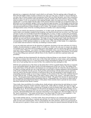physical eye, or apparent to the body's touch which we call matter. This the aspiring order of thought you draw from the higher realms of spirit or element every time you wish, pray, or desire it. You are drawing to you then, that of unseen element which incorporates itself with your body and spirit, and it then commences literally to draw you toward the realm and element of greater, broader, purer life existent in zones or bands about our planet. It will, as you persist in this aspiring thought, make you stand more erect. The phrase "the upright man" or woman implies that the effect of this unseen element so brought you of aspiration makes you physically as well as spiritually upright. It lifts every physical organ into place. It is the thought current drawing from above the mood of impure or immature thoughts the mood of unwise or personal selfishness which seeks only personal gratification without thought or care of others. The thought or mood of gloom, discouragement, self depreciation comes of the the overruling attraction of earthly seen or physical things.

When you are ruled by the attraction of gravitation, or, in other words, the attraction of material things, it will tend to make your shoulders rounded he and stooping, your head bowed and your eye down- cast. Your heart will also in some way be literally bowed down through grief, or worry, or anger, or some form of immature thought or attraction coming of seen things or cruder forms of spirit. Every organ of the body will be similarly displaced and tend toward the earth. There is always between things and forms material and things and forms spiritual, an exact and literal correspondence. The shape of every man and woman's body, the expression of the face, their every gesture and mannerism to the crook of a finger, and their physical health, is an exact correspondence of their spiritual condition or, in other words, of the state of their minds. It is a duplication in seen matter and movement of what they are thinking in unseen matter.

As you are ruled more and more by the attraction of aspiration, the desire to be more and more of a God or Goddess, the determination to conquer all the evil within you, which is the only way to conquer any and all evil outside of you, your form will in accordance grow more upright, your eye will be more open and uplifted, your heart will be "lifted up," your cheeks will bloom with fresher colour, your blood will fill more and more with a finer and powerful element, giving to your limbs strength, vigour, suppleness and elasticity of movement. You are then filling more and more with the Elixir of Life, which is no myth but a spiritual reality and possibility.

Our race hitherto has been dominated by the attraction of physical things or seen element. It has said there is nothing in existence but what can be seen or felt of the outer inferior or coarser senses, and consequently there has been nothing else to us. A man may perish of thirst surrounded by springs of cool water, and if he know not of such springs there are none for him. Our condition has been analogous to that.

With the more perfected race of the future on this planet there will be no painful death of the body as at present. Every such painful death is the direct result of sin and transgression of the Law of Life. The ending of the body of the future will be the birth or development of a new physical body for which the old one shall serve as a shell or envelope until the new one is ripe and ready to come forth in a manner analogous to the development of the moth or butterfly from the cocoon. Such growths and transitions will take place at lesser and lesser intervals, until at last the spirit will grow to such power that it can will and attract to itself instantly out of surrounding elements a body to use so long as it pleases on this stratum of life This is the condition foreseen by Paul when he said, "O Death, where is thy sting? O grave, where is thy victory?" And again where he writes, "The last great enemy which shall be overcome is Death." We quote Paul, because no ancient teacher has more plainly foreshadowed these possibilities than he. Undoubtedly they were known to others both of the recorded and unrecorded human history of this planet which stretches back to periods far more remote than those inferred in the Mosaic creation.

These truths, these possibilities for avoiding decay, death and pain, and growing into and taking on a newer and newer body, and newer, fresher and more vigorous life, vitally affect us of today. We must not regard these statements as affecting only a coming race of people of some far distant future They affect us. They are possibilities for us. We have belonging to us the powers for bringing to us new rife and new bodies. If you are not told of these your powers how can you ever use them? You are then as a pauper having, unknown to yourself, a thousand dollar bank note sewed up in the lining of your ragged coat. This knowledge is for you the "pearl of great price." You cannot sell this pearl. You cannot trade it for that of your neighbour's. You cannot accumulate your neighbour's powers; you can only grow and use yours alone.

You wonder perhaps and say, "Can these truths, these marvels belong to our common-place age and time? "But ours is not a common-place, or prosaic age and time. It is only our lack of seeing clearly which may make our time seem common-place. We live surrounded by the same elements, and we are in possession of the same powers to greater or lesser extent, whereby the three young Jews passed unharmed through the fiery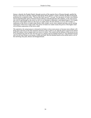fumace–whereby the Prophet Daniel, through exercise of the superior force of human thought, quelled the ferocity of the lions in the den; whereby Paul shook off the serpent's venom; whereby the Man of Nazareth performed his wonderful works. "Was not this God's power?" you ask. Yes, the power of God or the Infinite and incomprehensible spirit of Eternal Good working in and through these His children, as the same power can work in and through us the more we call it to us, demand it, importune it and depend upon it. It is simply the power of the higher mind over the lower or cruder mind. All seen element, or as we call it matter, is expression of the lower or cruder mind. Rocks, hills, clouds, waves, trees, animals and men, are all varying expressions of the lower cruder mind. The power of mind over matter means the power of the higher mind over all these expressions of the lower mind.

The aspiration, the earnest prayer or demand to be better, to have more power, to become more refined, will bring more and more of the finer elements and forces; that is spirit to you. But the motive must be the natural heart-felt zealous wish to impart what you receive to others. You cannot call the fullness of this power to you if you intend living only for self. You may get it to a degree and accomplish much by it. Your demand if living only for self may bring to you houses, wealth and fame. But the demand based on the selfish motive will in the end bring only pain, disease and disappointment.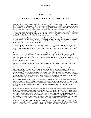#### *Chapter Thirteen*

## **THE ACCESSION OF NEW THOUGHT**

NEW thought is new life. When an invention, a discovery first breaks on the inventor's mind, it fills him with joy. The blood in his veins surges with a fresher impetus. The author or poet is lifted into ecstasy of emotion by a new conception; I mean the relatively few creative authors and poets–not the many who, borrowing the fire of Genius, put it in their own lanterns and pass it off, often successfully as their own.

"A piece of good news," as we term it in a period of gloom, depression, discouragement; the possible realization of a hope, the removal of an ill or danger, is but a thought after all–is but the picture in the mind of the thing desired–is not the thing itself, yet how it brings strength to the whole body.

An entertaining spectacle, a drama so perfectly acted as to absorb all one's attention, an interview with one to whom we are strongly attracted, a pursuit, or exercise, or art, which interests and fascinates–all these are as food and nourishment, stimulation to the body, and in the absorbtion or excitement of the moment, hunger for material food may pass away or be forgotten.

So we do not live by bread alone. But our natures demand ever new and newer food of thought. The play so charming when first seen may become tiresome through repetition. The air so fascinating when first heard, becomes worn through familiarity. There may even be longed for, a change from the quality of the thought of the mind most attractive to us.

I mean for all these a change, but only for a time. The play, the opera, the artist may in time be seen again and with increase of pleasure, either from the influence of former association, or from new growths and shadings in the artist's rendering, or from new capacity in ourselves to see what we could not see before. Call, then, all new thought, and if you please new emotion, food–food as necessary to make the relatively perfect physical and mental man or woman as is the bread we eat. We desire ever fresh food; we similarly desire and need always new and fresh thought.

Old thought–constant repetition of the same thought–involves decay, sluggishness of mind, sluggishness of body.

Suppose that we rose each morn with the absolute certainty that each day was to be a day involving to us more or less of the excitement of discovery in something useful and enjoyable, and also of similar use to others–something endurable for us and others–endurable for eternity–some unexpected branching out of yesterday's truth, which for yesterday seemed fully grown–something telling us how life may be made still fuller of durable and harmless enjoyment; some great law principle in Nature recognized possibly for the first time in some heretofore called "little thing," in the fall of a leaf, in the colouring of a leaf by the autumnal frost, in its almost equal vividness of colour coming through the heat of Spring.

What must be the pleasure to an open and receptive mind to find today an increase of improvement in the quality almost despaired of yesterday–an increase of patience in doing the perplexing work –an increase of courage–an increase of perception to see beauty in what yesterday it passed by with indifference–an increase of power to control unruly appetite–an increase of power to drive away unpleasant and therefore injurious thought.

Would not such be encouraging, cheering, life giving, health-giving thoughts? This order and accession of ever new thought knows no stop in any direction. It says: "Are you orderly today? You will find some power and room and capacity to be more orderly tomorrow. "Was your last effort in music, in painting, in composition, in acting, in oratory, your greatest triumph?" "You will find some way of making it more perfect tomorrow." That will take nothing from the last effort. It is only a more beautiful and delicate tint for some already beautiful picture. The consciousness of such never-ending growth of improvement is also food for the growing mind, other than bread. Yet it is bread. It is the "Bread of Life," and to be desired as "Our Daily Bread."

Would not also the thought each morning that a Great Power, an infinitely wise mind, was always ready to give more knowledge to help you through troubles–troubles from without and troubles from within. Would not such thought, and the trust begotten of it, be as food, strength, and healthy stimulation?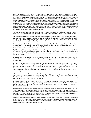Especially when the reality of this Power and its ability to aid had been proven to you many times, so that the hope had become a conviction? Grant that new thought is healthy stimulation and also a necessary food to a more perfected life and the question arrives, "How shall we get it?" In other words, "How may we attune ourselves or how may we become more receptive to all that is beautiful and useful in Nature?" For in our religion the useful always implies the beautiful. It is almost farcical to answer, "Live a pure life." That implies so much; so much in so many cases to be done; so much of inherent tendency to be outgrown; so many difficulties to be met; so many conditions necessary for such life so difficult to make. The desire for accumulation seems a Law of our Natures. In its cruder working it accumulates money: in its higher form it would accumulate powers and qualities of mind. "I am \$100 or \$500 richer than I was this morning," says, with satisfaction and pleasure at night, the money accumulator. That pleasant thought is to him a bit of the bread of Life–but not of enduring life, or in the end, if at all healthy life.

"I," may say another man at night, "am richer than I was this morning by so much more patience, by a bit more of skill or dexterity in my art, by certain knowledge of which I knew nothing twenty four hours ago."

Are we yet fully awakened to the thought that we are receptacles for thought and with thought knowledge, and with knowledge Power, and that our capacity for receiving all these may be limitless, and that the supply of knowledge, power, new thought in the Universe is limitless also, and that it is all ours to draw from, and that the Bank can no more break than Eternity can end.

There are thousands of things, events and scenes in your past life which it is more profitable to forget than to remember. By so forgetting you allow entrance for new idea, which is new life. By remembering you prevent the coming to you of such new idea and life.

By "forgetting," I mean that you should avoid living in unpleasant past scenes and remembrances. Absolutely to forget or wipe out completely from memory anything it has once taken note of is impossible. For everything you have seen, learned, sensed or heard is stored away, and is capable under certain circumstances of being brought to view again.

In place of the term forgetting it would be better to say you should cultivate the power of driving from your mind and putting out of sight whatever makes you feel unhappy or whatever you discover that is unprofitable to remember.

It is impossible absolutely to wipe out anything your memory has once written on its tablets, for whatever the scene, event or experience may have been, it has become a part of your real self or spirit. In other words your spirit is made up of all its experiences and consequent remembrances extending to an infinite past. Of these some are vivid, some vague, and much is buried out of present sight, but capable under certain circumstances of being called to remembrance. To destroy such remembrance, if possible, would be to destroy so much of your mind.

All experiences are valuable for the wisdom they bring or suggest. But when you have once gained wisdom and knowledge from any experience, there is little profit in repeating it, especially if it has been unpleasant, You do actually repeat it when you remember it or live it over again in thought. This is what people are doing who brood over past misfortunes and disappointments.

It is what people are doing when they recall with regret their youth as bright and joyous as compared with the gloom of their middle or old age. Live in the pleasant remembrance of your youth, if you so desire. That will do you good. But do not set it in its brightness and freshness against a dark background of the present. Do not think of it in that vein.

Remember that the time of your infancy and youth, with all its freshness and newness, was also the time of some other people's old age when the world seemed stale and joyless, when to them all that life seemed capable of yielding seemed exhausted, when nothing seemed to remain but to wither and die. Remember also that today if the world seems less bright than formerly, if the sun seems setting instead of rising, it seems now to the boy and girl of ten or fifteen as it did to you at that age.

No person could hold his or her physical body and enjoy life who as they lived on lived in the past and refused to set or open their minds to the future. In so doing they accumulate more and more of the old and relatively lifeless thought, and this element materializes itself on the body. Their flesh, bone and blood then become an actual expression of the dead and inert spirit.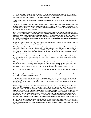To live carrying such an ever-increasing load must result only in weakness and misery so long as the spirit can carry it. But the mind rejecting the old which it has no use for and ever pressing on to the new, adds the new thought to itself, and this newness of idea will materialize a newer body.

You do actually make the "things before" pleasant or unpleasant for you according as you think of them in advance.

There is a class of people who, if in difficulties and anyone suggests a way out, instantly raise objections and find difficulties in the plan proposed. When in thought we so find difficulties, we actually make them. To lay awake nights and brood, devise, turn over or invent possible coming troubles is force and industry ill employed in preparing the way for those troubles.

In all business we must press on in mind to the successful result. We must see in mind or imagination the thing we plan completed, the system or method organized and in working order, the movement or undertaking advancing and ever growing stronger and more profitable. To spend time and force in looking back and living past troubles or obstacles over again, and out of such living and mental action to conjure more difficulties or oppositions, is literally to spend time and force in destroying your undertaking, or in manufacturing obstacles to put in your own way.

Forgetting the things behind and pressing on to those before is a maxim having a thousand intensely practical applications. Every business success is founded on it.

Men who cease to live in old methods and press forward to new, achieve the greatest financial success. But men who having started out during their physical youth with the new, allow themselves with advancing years to hold on to what was new in their youth, but which is relatively old now, are really on the back track. Money may continue to pour in upon them, but their methods are really out of date, and a few more years will see their business superseded by the newer system.

If you were debilitated, weak or sick yesterday at any hour, do not commence today with living in thought in the same weakness or debility at that hour. Forget it, live away from it, and press onward to the thought of being strong, well and vigorous at that hour.

When you in mind look behind and live behind the thought of the sickness, weakness or indisposition of yesterday, you are actually making the conditions for having the same physical troubles. When you at the day's commencement in thought look before to the new thing, the thought of health and strength at the time your lack of vigour commenced, you are making the conditions for realizing such health and strength.

If it does not come the first day of such trial, try the next, and the next after that. The state you seek will come in time.

Perhaps you say to me in mind: But how can you prove these assertions? They have not been realized in our time. "Decay and death at last overtake all."

You can commence yourself to prove them. If you experiment with any of the methods here suggested for working thought to profitable result and you prove for yourself ever so little, you must thereby gain some faith in this law. If the law is by you proven a little, is it unreasonable to say it will prove more if followed in this direction?

Unreasoning prejudices are bred out of this continual living in the past. The man of sixty or seventy often lives in moods, usages and customs peculiar to his youth. He accepts these as the most fit and proper thing for him. He would probably regard with disfavour and prejudice the man who at his daily business should wear the knee breeches, stockings, waistcoat, ruffled shirt and cocked hat of the eighteenth century. Yet such style was common one hundred years ago. His great-grandfather probably wore such a suit. Yet his greatgrandfather would probably have regarded with the same disfavour and prejudice the man dressed in the fashion of today. So a few years relatively have begotten these two unreasoning prejudices with the greatgrandfather and great-grandson, founded only on the fact that they were fashions peculiar to the youth of each.

It is, of course, impossible for a person to fly in the face of popular custom or usage–to dress differently or in certain ways live differently without bringing on him unpleasant and even injurious results. For the action of many minds sending toward you ever the thought of prejudice, dislike or ridicule would tend to injure mind and body.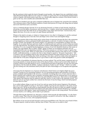But the sentiment which sends this kind of thought toward another, who departs from any established custom, when that person thereby affects no one's peace or comfort, is a gross error. It is an unreasoning mental tyranny which so regards with hostile mind a man who, e.g., should today adopt the costume of the ancient Greeks–a garb, by the way, more sensible and comfortable than ours.

Less than two hundred years ago such a sentiment mobbed the man in England who carried the first umbrella. This sentiment comes of that fossilized condition of mind which persists in living in the things that are behind and averts itself from such as are before.

Life is a continual advance forward. If we are advancing forward, it is better to look forward. And all are advancing, even the dullest, the grossest, and most perverse. A mighty, eternal and incomprehensible force pushes us all forward. But while all are so being pushed, many linger and look back. Unconsciously, they oppose this force. So to do is to court evil, pain, disease and distress.

Whatever the mind is set upon, or whatever it keeps most in view, that it is bringing to it, and the continual thought or imagining must at last take form and shape in the world of seen and tangible things.

I repeat this assertion often in these books and in various forms of expression because this fact is the cornerstone of your happiness or misery, permanent health and prosperity, or poverty. It needs to be kept as much as possible in mind. Our thought is the unseen magnet, ever attracting its correspondence in things seen and tangible. As we realize this more and more clearly, we shall become more and more careful to keep our minds set in the right direction. We shall be more and more careful to think happiness and success instead of misery and failure. It is very wonderful that the happiness or misery of our lives should be based on what seems so simple a law and method. But so-called "simple" things in Nature on investigation generally turn out incomprehensible and ever deepening mysteries. What most concerns us is to know a cause or agency that will produce a given result. When we realize that we can and do think ourselves into what we are, as regards health, wealth and position, we realize also that we have found in ourselves "the pearl of great price," and we hasten to tell our neighbour that he may seek and find in himself this pearl and power also, for no one is made poorer through his finding that which can belong to him alone, and all are made richer and happier as each finds his or her pearl, through the power it gives them to add to the general wealth and happiness.

Life is fuller of possibilities for pleasure than has ever been realized. The real life means a perpetual and ever increasing maturity. It means the preservation of the physical body, so that it can be used on this stratum of existence whenever the spirit desires to use it. It means the preservation of that body, not only free from pain and sickness, but free from the debility, weakness and decay of what we call "old age," which is in reality only the wearing out of the instrument used by the spirit for lack of knowledge to ever recuperate and regenerate it.

Life means the development in us of powers and pleasures which fiction in its highest flights has never touched. It means an ever-increasing freshness, an ever-increasing perception and realization of all that is grand, wonderful and beautiful in the universe, a constantly increasing discovery of more and more that is grand, beautiful and wonderful, and a constantly increasing capacity for the emotional part of our natures to sense such happiness. Life is eternal in the discovery and realization of these joys. Their source is inexhaustible. Their quality and character must be unknown until they reach us. In the words of the Apostolic record, "Eye hath not seen nor ear heard, neither have entered into the heart of man the things which God hath prepared for them that love Him."

In so-called ordinary things we get out of our lives and our senses but the merest fragment of the pleasure they can be made capable of giving us. Our food is capable of giving far more pleasure to the sense of taste than it may now. We do not get nearly as much pleasure from the ear and eye as they are capable of giving. With bodies more highly developed and refined, food when taken into the stomach should act as a healthy stimulant and give that impulse, vigour and bounding life which it gives to the young animal. The movement of every muscle, as in walking, can be made to give pleasure.

Through following the Spiritual Law, that peace of mind "which passeth all understanding" is in the future to come to many. That it has not in the past been realized is no proof it will not be. Life, then, whether its forces are in activity or at rest, will ne perpetual Elysium.

But millions of our race do not look forward to such joyous possibilities at all. They have never heard of them. The great majority would not believe did they hear of them. They press on in mind to what?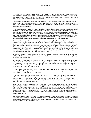To a belief which grows stronger with years that life is short, that old age and decay are absolute certainties and must come to all, that at a certain age of the body its powers must decrease, and that as weak and feeble old men and women now are before their eyes, so, in time, they must be, and that one great aim of life should be to lay up a store of money to "provide for old age."

These are not pleasant things to contemplate. The many do not contemplate them. They shut their eyes to these gloomy views of their future, but they believe in them just the same. They believe and dread. If they believe, they must in mind press on to such belief. It is this pressing forward that makes of the thing believed in, a material or physical reality.

"Providing for old age" makes the old age of the body, because the person so "providing" sees him or herself for years as helpless and decrepit. What the mind so projects for the future it is making for the future. A material thing (money) is relied on to secure one from ills, when all material things are quite powerless to prevent such ills. The rich man with an aged, worn, diseased body can only buy with his money a better room and bed to live in than the poor man. His money does not prevent disease and weakness. It cannot give him an appetite for the costliest food. In pain and anguish the Emperor is in all respects on the same level with the pauper, for in extreme misery a soft bed and numerous attendants give little or no comfort.

Now in all this, thought element worked in ignorance in the wrong direction proves that it brings a result, but a woeful one. It is only the cultivation of the power of the spirit over the body that can prevent these ills. That power we first begin to cultivate and increase when we come to recognize and believe that mind or spirit is the power governing our bodies, and that whatever mind persistently images, thinks or imagines, it makes. Now, unconsciously, we image in the wrong direction. We think the old age or wearing out of the body must be, because, so far as we know, it always has been. We press on in imagination and unwelcome belief to gloom and physical decay. We hold these sad pictures ever in our minds. Having no faith in the brighter view, we do not look toward that view to life, and ever increasing life.

In the New Testament (the last revelation) we find the Christian and Apostolic teaching full of the sentiment of life, and life everlasting. Death is not argued or implied as an absolute necessity, but as an "enemy" which is ultimately to be destroyed.

It was never said or implied that the advent of "greater revelations" was not to be until millions on millions of years in the future. The dawn of such advent may be now. It is now, not because of any one man's writings or assertions, but because many minds are now open to the reception of the greater revelation, which for centuries has been knocking at humanity's door, but could not enter by reason of the obtuseness and dull ear of those whom it sought to arouse and benefit.

The only dead people in the Universe are the spiritually dead, those "dead in trespasses and sins" who have not as yet learned to forget or rather to refuse to live in and depend on the relatively dead or inert element of earth instead of that drawn from a higher source.

Still the few in the vanguard pressing onward are crying out: "Why, here under our noses is the greatest of all motive powers! Why, human thought is a real element, a real force, darting out like electricity from every man's or woman's mind, injuring or relieving, killing or curing, building fortunes or tearing them down, working for good or ill, every moment, night or day, asleep or awake, carving, moulding and shaping people's faces and making them ugly or agreeable.

Before you give so much of your thought to others, ask. in view of these possibilities, if some is not due to yourself. If you can build yourself up into a living power–if you can, with others, prove that physical health and vigour can take the place of old age–that all disease can be banished from the body–that material riches and necessities can come of laws and methods not now generally practised, and that life is not the short, unsatisfactory, hopeless thing which at the best it now is, will you not to the world at large do a thousandfold more good than if you expended your thought in feeding a few hungry mouths or relieving a few physical necessities of others?

Our richest men, our rulers, our famous men in art, science and war, our professors, our ministers, our greatest successes, what is their end? Weakness decay and disease. Our more thoughtful people admit that by the time they have learned something of life, it is time to die. The obituary from the living is at best an apology for the unsatisfactory ending of a human life.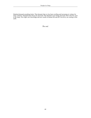Mankind demand something better. That demand, that cry has been swelling and increasing in volume for many centuries. Demand must always be answered. This demand is now being answered, first to the few, next to the many. New light, new knowledge and new results in human life and all it involves, are coming to this earth.

*The end.*